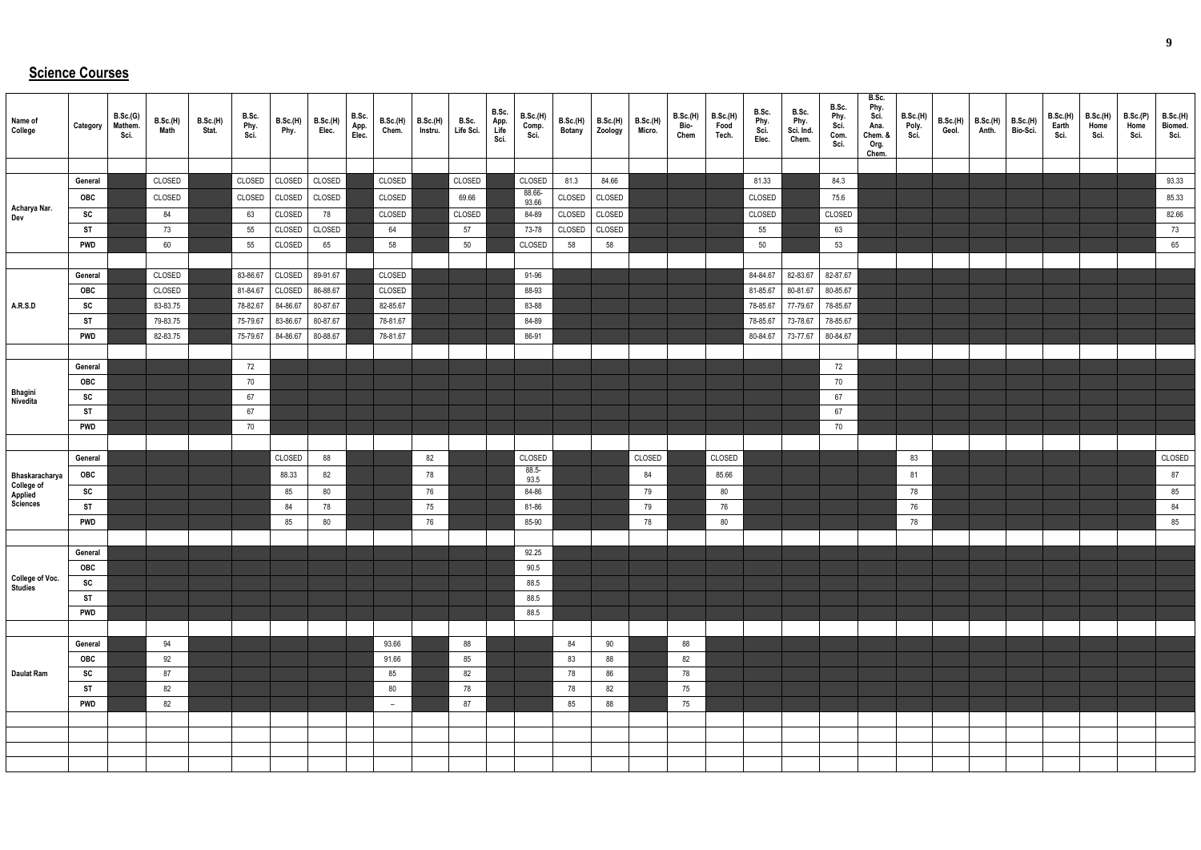## **Science Courses**

| Name of<br>College                | Category         | B.Sc.(G)<br>Mathem.<br>Sci. | B.Sc.(H)<br>Math | <b>B.Sc.(H)</b><br>Stat. | B.Sc.<br>Phy.<br>Sci. | <b>B.Sc.(H)</b><br>Phy. | <b>B.Sc.(H)</b><br>Elec. | B.Sc.<br>App.<br>Elec. | B.Sc.(H)<br>Chem.        | B.Sc.(H)<br>Instru. | B.Sc.<br>Life Sci. | B.Sc.<br>App.<br>Life<br>Sci. | <b>B.Sc.(H)</b><br>Comp.<br>Sci. | Botany | $B.Sc.(H)$ $B.Sc.(H)$<br>Zoology | B.Sc.(H)<br>Micro. | <b>B.Sc.(H)</b><br>Bio-<br>Chem | B.Sc.(H)<br>Food<br>Tech. | B.Sc.<br>Phy.<br>Sci.<br>Elec. | B.Sc.<br>Phy.<br>Sci. Ind.<br>Chem. | B.Sc.<br>Phy.<br>Sci.<br>Com.<br>Sci. | B.Sc.<br>Phy.<br>Sci.<br>Ana.<br>Chem. &<br>Org.<br>Chem. | B.Sc.(H)<br>Poly.<br>Sci. | B.Sc.(H)<br>Geol. | B.Sc.(H)<br>Anth. | B.Sc.(H)<br>Bio-Sci. | B.Sc.(H)<br>Earth<br>Sci. | B.Sc.(H)<br>Home<br>Sci. | B.Sc.(P)<br>Home<br>Sci. | <b>B.Sc.(H)</b><br>Biomed.<br>Sci. |
|-----------------------------------|------------------|-----------------------------|------------------|--------------------------|-----------------------|-------------------------|--------------------------|------------------------|--------------------------|---------------------|--------------------|-------------------------------|----------------------------------|--------|----------------------------------|--------------------|---------------------------------|---------------------------|--------------------------------|-------------------------------------|---------------------------------------|-----------------------------------------------------------|---------------------------|-------------------|-------------------|----------------------|---------------------------|--------------------------|--------------------------|------------------------------------|
|                                   |                  |                             |                  |                          |                       |                         |                          |                        |                          |                     |                    |                               |                                  |        |                                  |                    |                                 |                           |                                |                                     |                                       |                                                           |                           |                   |                   |                      |                           |                          |                          |                                    |
|                                   | General          |                             | CLOSED           |                          | CLOSED                | CLOSED                  | CLOSED                   |                        | CLOSED                   |                     | CLOSED             |                               | CLOSED                           | 81.3   | 84.66                            |                    |                                 |                           | 81.33                          |                                     | 84.3                                  |                                                           |                           |                   |                   |                      |                           |                          |                          | 93.33                              |
| Acharya Nar.                      | OBC              |                             | CLOSED           |                          | CLOSED                | CLOSED                  | CLOSED                   |                        | CLOSED                   |                     | 69.66              |                               | 88.66-<br>93.66                  | CLOSED | CLOSED                           |                    |                                 |                           | CLOSED                         |                                     | 75.6                                  |                                                           |                           |                   |                   |                      |                           |                          |                          | 85.33                              |
| Dev                               | SC               |                             | 84               |                          | 63                    | CLOSED                  | 78                       |                        | CLOSED                   |                     | CLOSED             |                               | 84-89                            | CLOSED | CLOSED                           |                    |                                 |                           | CLOSED                         |                                     | CLOSED                                |                                                           |                           |                   |                   |                      |                           |                          |                          | 82.66                              |
|                                   | <b>ST</b>        |                             | 73               |                          | 55                    | CLOSED                  | CLOSED                   |                        | 64                       |                     | 57                 |                               | 73-78                            | CLOSED | CLOSED                           |                    |                                 |                           | $55\,$                         |                                     | 63                                    |                                                           |                           |                   |                   |                      |                           |                          |                          | 73                                 |
|                                   | <b>PWD</b>       |                             | 60               |                          | 55                    | CLOSED                  | 65                       |                        | 58                       |                     | 50                 |                               | CLOSED                           | 58     | 58                               |                    |                                 |                           | $50\,$                         |                                     | 53                                    |                                                           |                           |                   |                   |                      |                           |                          |                          | 65                                 |
|                                   |                  |                             |                  |                          |                       |                         |                          |                        |                          |                     |                    |                               |                                  |        |                                  |                    |                                 |                           |                                |                                     |                                       |                                                           |                           |                   |                   |                      |                           |                          |                          |                                    |
|                                   | General          |                             | CLOSED           |                          | 83-86.67              | CLOSED                  | 89-91.67                 |                        | CLOSED                   |                     |                    |                               | 91-96                            |        |                                  |                    |                                 |                           | 84-84.67                       | 82-83.67                            | 82-87.67                              |                                                           |                           |                   |                   |                      |                           |                          |                          |                                    |
|                                   | OBC              |                             | CLOSED           |                          | 81-84.67              | CLOSED                  | 86-88.67                 |                        | CLOSED                   |                     |                    |                               | 88-93                            |        |                                  |                    |                                 |                           | 81-85.67                       | 80-81.67                            | 80-85.67                              |                                                           |                           |                   |                   |                      |                           |                          |                          |                                    |
| <b>A.R.S.D</b>                    | SC               |                             | 83-83.75         |                          | 78-82.67              | 84-86.67                | 80-87.67                 |                        | 82-85.67                 |                     |                    |                               | 83-88                            |        |                                  |                    |                                 |                           | 78-85.67                       | 77-79.67                            | 78-85.67                              |                                                           |                           |                   |                   |                      |                           |                          |                          |                                    |
|                                   | <b>ST</b>        |                             | 79-83.75         |                          | 75-79.67              | 83-86.67                | 80-87.67                 |                        | 78-81.67                 |                     |                    |                               | 84-89                            |        |                                  |                    |                                 |                           | 78-85.67                       | 73-78.67                            | 78-85.67                              |                                                           |                           |                   |                   |                      |                           |                          |                          |                                    |
|                                   | <b>PWD</b>       |                             | 82-83.75         |                          | 75-79.67              | 84-86.67                | 80-88.67                 |                        | 78-81.67                 |                     |                    |                               | 86-91                            |        |                                  |                    |                                 |                           | 80-84.67                       | 73-77.67                            | 80-84.67                              |                                                           |                           |                   |                   |                      |                           |                          |                          |                                    |
|                                   |                  |                             |                  |                          |                       |                         |                          |                        |                          |                     |                    |                               |                                  |        |                                  |                    |                                 |                           |                                |                                     |                                       |                                                           |                           |                   |                   |                      |                           |                          |                          |                                    |
|                                   | General          |                             |                  |                          | 72                    |                         |                          |                        |                          |                     |                    |                               |                                  |        |                                  |                    |                                 |                           |                                |                                     | 72                                    |                                                           |                           |                   |                   |                      |                           |                          |                          |                                    |
| Bhagini<br>Nivedita               | OBC<br>SC        |                             |                  |                          | 70<br>67              |                         |                          |                        |                          |                     |                    |                               |                                  |        |                                  |                    |                                 |                           |                                |                                     | 70<br>67                              |                                                           |                           |                   |                   |                      |                           |                          |                          |                                    |
|                                   | <b>ST</b>        |                             |                  |                          | 67                    |                         |                          |                        |                          |                     |                    |                               |                                  |        |                                  |                    |                                 |                           |                                |                                     | 67                                    |                                                           |                           |                   |                   |                      |                           |                          |                          |                                    |
|                                   | <b>PWD</b>       |                             |                  |                          | 70                    |                         |                          |                        |                          |                     |                    |                               |                                  |        |                                  |                    |                                 |                           |                                |                                     | 70                                    |                                                           |                           |                   |                   |                      |                           |                          |                          |                                    |
|                                   |                  |                             |                  |                          |                       |                         |                          |                        |                          |                     |                    |                               |                                  |        |                                  |                    |                                 |                           |                                |                                     |                                       |                                                           |                           |                   |                   |                      |                           |                          |                          |                                    |
|                                   | General          |                             |                  |                          |                       | CLOSED                  | 88                       |                        |                          | 82                  |                    |                               | CLOSED                           |        |                                  | CLOSED             |                                 | CLOSED                    |                                |                                     |                                       |                                                           | 83                        |                   |                   |                      |                           |                          |                          | CLOSED                             |
|                                   | <b>OBC</b>       |                             |                  |                          |                       | 88.33                   | 82                       |                        |                          | 78                  |                    |                               | $88.5 -$                         |        |                                  | 84                 |                                 | 85.66                     |                                |                                     |                                       |                                                           | 81                        |                   |                   |                      |                           |                          |                          | 87                                 |
| Bhaskaracharya                    |                  |                             |                  |                          |                       |                         |                          |                        |                          |                     |                    |                               | 93.5                             |        |                                  |                    |                                 |                           |                                |                                     |                                       |                                                           |                           |                   |                   |                      |                           |                          |                          |                                    |
| College of<br>Applied<br>Sciences | SC               |                             |                  |                          |                       | 85                      | 80                       |                        |                          | 76                  |                    |                               | 84-86<br>81-86                   |        |                                  | 79                 |                                 | 80                        |                                |                                     |                                       |                                                           | 78                        |                   |                   |                      |                           |                          |                          | 85<br>84                           |
|                                   | ST<br><b>PWD</b> |                             |                  |                          |                       | 84<br>85                | 78<br>80                 |                        |                          | 75<br>76            |                    |                               | 85-90                            |        |                                  | 79<br>78           |                                 | 76<br>80                  |                                |                                     |                                       |                                                           | 76<br>78                  |                   |                   |                      |                           |                          |                          | 85                                 |
|                                   |                  |                             |                  |                          |                       |                         |                          |                        |                          |                     |                    |                               |                                  |        |                                  |                    |                                 |                           |                                |                                     |                                       |                                                           |                           |                   |                   |                      |                           |                          |                          |                                    |
|                                   | General          |                             |                  |                          |                       |                         |                          |                        |                          |                     |                    |                               | 92.25                            |        |                                  |                    |                                 |                           |                                |                                     |                                       |                                                           |                           |                   |                   |                      |                           |                          |                          |                                    |
|                                   | OBC              |                             |                  |                          |                       |                         |                          |                        |                          |                     |                    |                               | 90.5                             |        |                                  |                    |                                 |                           |                                |                                     |                                       |                                                           |                           |                   |                   |                      |                           |                          |                          |                                    |
| College of Voc.                   | SC               |                             |                  |                          |                       |                         |                          |                        |                          |                     |                    |                               | 88.5                             |        |                                  |                    |                                 |                           |                                |                                     |                                       |                                                           |                           |                   |                   |                      |                           |                          |                          |                                    |
| <b>Studies</b>                    | ST               |                             |                  |                          |                       |                         |                          |                        |                          |                     |                    |                               | 88.5                             |        |                                  |                    |                                 |                           |                                |                                     |                                       |                                                           |                           |                   |                   |                      |                           |                          |                          |                                    |
|                                   | <b>PWD</b>       |                             |                  |                          |                       |                         |                          |                        |                          |                     |                    |                               | 88.5                             |        |                                  |                    |                                 |                           |                                |                                     |                                       |                                                           |                           |                   |                   |                      |                           |                          |                          |                                    |
|                                   |                  |                             |                  |                          |                       |                         |                          |                        |                          |                     |                    |                               |                                  |        |                                  |                    |                                 |                           |                                |                                     |                                       |                                                           |                           |                   |                   |                      |                           |                          |                          |                                    |
|                                   | General          |                             | 94               |                          |                       |                         |                          |                        | 93.66                    |                     | 88                 |                               |                                  | 84     | 90                               |                    | 88                              |                           |                                |                                     |                                       |                                                           |                           |                   |                   |                      |                           |                          |                          |                                    |
|                                   | OBC              |                             | 92               |                          |                       |                         |                          |                        | 91.66                    |                     | 85                 |                               |                                  | 83     | 88                               |                    | 82                              |                           |                                |                                     |                                       |                                                           |                           |                   |                   |                      |                           |                          |                          |                                    |
| Daulat Ram                        | SC               |                             | 87               |                          |                       |                         |                          |                        | 85                       |                     | 82                 |                               |                                  | 78     | 86                               |                    | 78                              |                           |                                |                                     |                                       |                                                           |                           |                   |                   |                      |                           |                          |                          |                                    |
|                                   | <b>ST</b>        |                             | 82               |                          |                       |                         |                          |                        | 80                       |                     | 78                 |                               |                                  | 78     | 82                               |                    | 75                              |                           |                                |                                     |                                       |                                                           |                           |                   |                   |                      |                           |                          |                          |                                    |
|                                   | <b>PWD</b>       |                             | 82               |                          |                       |                         |                          |                        | $\overline{\phantom{0}}$ |                     | 87                 |                               |                                  | 85     | 88                               |                    | 75                              |                           |                                |                                     |                                       |                                                           |                           |                   |                   |                      |                           |                          |                          |                                    |
|                                   |                  |                             |                  |                          |                       |                         |                          |                        |                          |                     |                    |                               |                                  |        |                                  |                    |                                 |                           |                                |                                     |                                       |                                                           |                           |                   |                   |                      |                           |                          |                          |                                    |
|                                   |                  |                             |                  |                          |                       |                         |                          |                        |                          |                     |                    |                               |                                  |        |                                  |                    |                                 |                           |                                |                                     |                                       |                                                           |                           |                   |                   |                      |                           |                          |                          |                                    |
|                                   |                  |                             |                  |                          |                       |                         |                          |                        |                          |                     |                    |                               |                                  |        |                                  |                    |                                 |                           |                                |                                     |                                       |                                                           |                           |                   |                   |                      |                           |                          |                          |                                    |
|                                   |                  |                             |                  |                          |                       |                         |                          |                        |                          |                     |                    |                               |                                  |        |                                  |                    |                                 |                           |                                |                                     |                                       |                                                           |                           |                   |                   |                      |                           |                          |                          |                                    |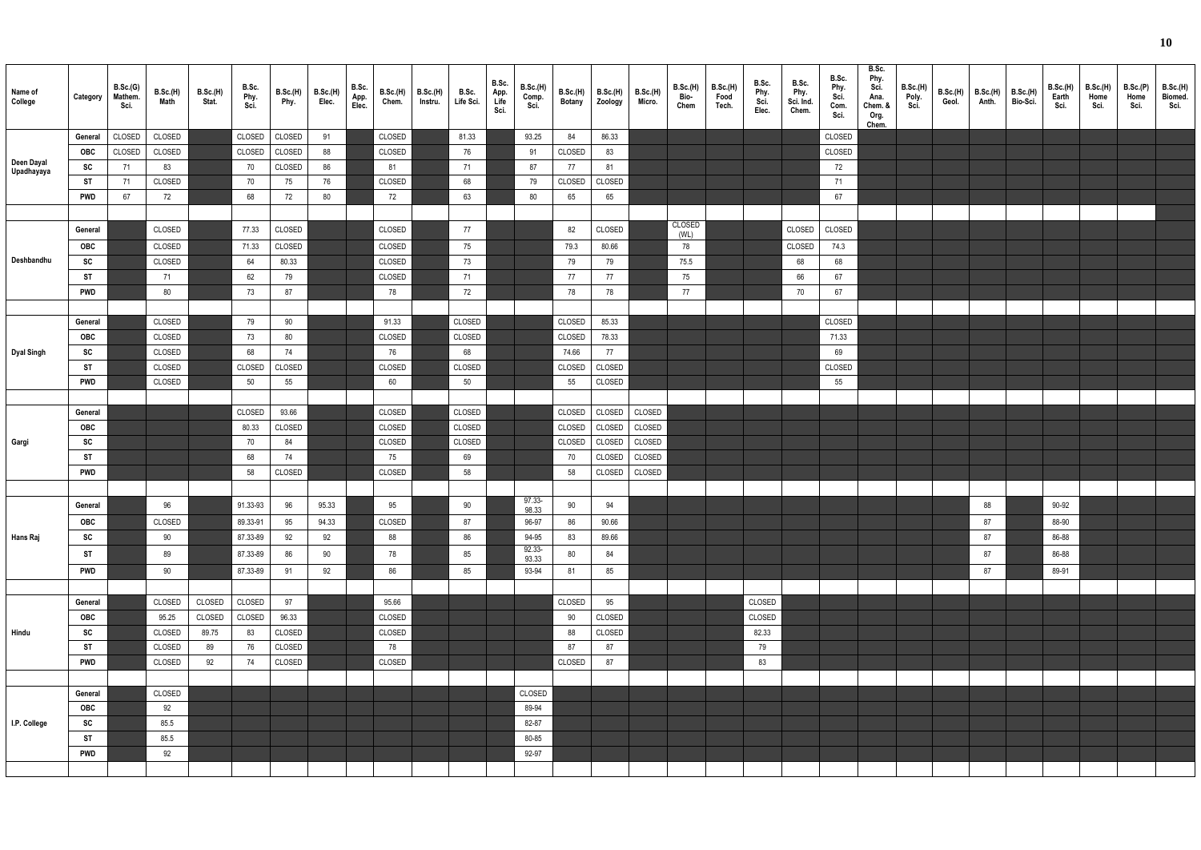| ٩ | ٦             |
|---|---------------|
| ш | ı<br>۰.<br>۰. |

| Name of<br>College       | Category              | B.Sc.(G)<br>Mathem.<br>Sci. | B.Sc.(H)<br>Math | B.Sc.(H)<br>Stat. | B.Sc.<br>Phy.<br>Sci. | <b>B.Sc.(H)</b><br>Phy. | B.Sc.(H)<br>Elec. | B.Sc.<br>App.<br>Elec. | <b>B.Sc.(H)</b><br>Chem. | B.Sc.(H)<br>Instru. | B.Sc.<br>Life Sci. | B.Sc.<br>App.<br>Life<br>Sci. | B.Sc.(H)<br>Comp.<br>Sci. | B.Sc.(H)<br><b>Botany</b> | <b>B.Sc.(H)</b><br>Zoology | <b>B.Sc.(H)</b><br>Micro. | <b>B.Sc.(H)</b><br>Bio-<br>Chem | B.Sc.(H)<br>Food<br>Tech. | B.Sc.<br>Phy.<br>Sci.<br>Elec. | B.Sc.<br>Phy.<br>Sci. Ind.<br>Chem. | B.Sc.<br>Phy.<br>Sci.<br>Com.<br>Sci. | B.Sc.<br>Phy.<br>Sci.<br>Ana.<br>Chem. &<br>Org.<br>Chem. | <b>B.Sc.(H)</b><br>Poly.<br>Sci. | B.Sc.(H)<br>Geol. | <b>B.Sc.(H)</b><br>Anth. | B.Sc.(H)<br>Bio-Sci. | B.Sc.(H)<br>Earth<br>Sci. | <b>B.Sc.(H)</b><br>Home<br>Sci. | B.Sc.(P)<br>Home<br>Sci. | <b>B.Sc.(H)</b><br>Biomed.<br>Sci. |
|--------------------------|-----------------------|-----------------------------|------------------|-------------------|-----------------------|-------------------------|-------------------|------------------------|--------------------------|---------------------|--------------------|-------------------------------|---------------------------|---------------------------|----------------------------|---------------------------|---------------------------------|---------------------------|--------------------------------|-------------------------------------|---------------------------------------|-----------------------------------------------------------|----------------------------------|-------------------|--------------------------|----------------------|---------------------------|---------------------------------|--------------------------|------------------------------------|
|                          | General               | CLOSED                      | CLOSED           |                   | CLOSED                | CLOSED                  | 91                |                        | CLOSED                   |                     | 81.33              |                               | 93.25                     | 84                        | 86.33                      |                           |                                 |                           |                                |                                     | CLOSED                                |                                                           |                                  |                   |                          |                      |                           |                                 |                          |                                    |
|                          | <b>OBC</b>            | CLOSED                      | CLOSED           |                   | CLOSED                | CLOSED                  | 88                |                        | CLOSED                   |                     | 76                 |                               | 91                        | CLOSED                    | 83                         |                           |                                 |                           |                                |                                     | CLOSED                                |                                                           |                                  |                   |                          |                      |                           |                                 |                          |                                    |
| Deen Dayal<br>Upadhayaya | SC                    | 71                          | 83               |                   | 70                    | CLOSED                  | 86                |                        | 81                       |                     | 71                 |                               | 87                        | 77                        | 81                         |                           |                                 |                           |                                |                                     | 72                                    |                                                           |                                  |                   |                          |                      |                           |                                 |                          |                                    |
|                          | ST                    | - 71                        | CLOSED           |                   | 70                    | 75                      | 76                |                        | CLOSED                   |                     | 68                 |                               | 79                        | CLOSED                    | CLOSED                     |                           |                                 |                           |                                |                                     | 71                                    |                                                           |                                  |                   |                          |                      |                           |                                 |                          |                                    |
|                          | <b>PWD</b>            | 67                          | 72               |                   | 68                    | 72                      | 80                |                        | 72                       |                     | 63                 |                               | 80                        | 65                        | 65                         |                           |                                 |                           |                                |                                     | 67                                    |                                                           |                                  |                   |                          |                      |                           |                                 |                          |                                    |
|                          |                       |                             |                  |                   |                       |                         |                   |                        |                          |                     |                    |                               |                           |                           |                            |                           |                                 |                           |                                |                                     |                                       |                                                           |                                  |                   |                          |                      |                           |                                 |                          |                                    |
|                          | General               |                             | CLOSED           |                   | 77.33                 | CLOSED                  |                   |                        | CLOSED                   |                     | 77                 |                               |                           | 82                        | CLOSED                     |                           | CLOSED<br>(WL)                  |                           |                                | CLOSED                              | CLOSED                                |                                                           |                                  |                   |                          |                      |                           |                                 |                          |                                    |
|                          | <b>OBC</b>            |                             | CLOSED           |                   | 71.33                 | CLOSED                  |                   |                        | CLOSED                   |                     | 75                 |                               |                           | 79.3                      | 80.66                      |                           | 78                              |                           |                                | CLOSED                              | 74.3                                  |                                                           |                                  |                   |                          |                      |                           |                                 |                          |                                    |
| Deshbandhu               | SC                    |                             | CLOSED           |                   | 64                    | 80.33                   |                   |                        | CLOSED                   |                     | 73                 |                               |                           | 79                        | 79                         |                           | 75.5                            |                           |                                | 68                                  | 68                                    |                                                           |                                  |                   |                          |                      |                           |                                 |                          |                                    |
|                          | ST                    |                             | 71               |                   | 62                    | 79                      |                   |                        | CLOSED                   |                     | 71                 |                               |                           | 77                        | 77                         |                           | 75                              |                           |                                | 66                                  | 67                                    |                                                           |                                  |                   |                          |                      |                           |                                 |                          |                                    |
|                          | <b>PWD</b>            |                             | 80               |                   | 73                    | 87                      |                   |                        | 78                       |                     | 72                 |                               |                           | 78                        | 78                         |                           | 77                              |                           |                                | 70                                  | 67                                    |                                                           |                                  |                   |                          |                      |                           |                                 |                          |                                    |
|                          |                       |                             |                  |                   |                       |                         |                   |                        |                          |                     |                    |                               |                           |                           |                            |                           |                                 |                           |                                |                                     |                                       |                                                           |                                  |                   |                          |                      |                           |                                 |                          |                                    |
|                          | General               |                             | CLOSED           |                   | 79                    | 90                      |                   |                        | 91.33                    |                     | CLOSED             |                               |                           | CLOSED                    | 85.33                      |                           |                                 |                           |                                |                                     | CLOSED                                |                                                           |                                  |                   |                          |                      |                           |                                 |                          |                                    |
|                          | OBC                   |                             | CLOSED           |                   | 73                    | 80                      |                   |                        | CLOSED                   |                     | CLOSED             |                               |                           | CLOSED                    | 78.33                      |                           |                                 |                           |                                |                                     | 71.33                                 |                                                           |                                  |                   |                          |                      |                           |                                 |                          |                                    |
| Dyal Singh               | SC                    |                             | CLOSED           |                   | 68                    | 74                      |                   |                        | 76                       |                     | 68                 |                               |                           | 74.66                     | 77                         |                           |                                 |                           |                                |                                     | 69                                    |                                                           |                                  |                   |                          |                      |                           |                                 |                          |                                    |
|                          | ST                    |                             | CLOSED           |                   | CLOSED                | CLOSED                  |                   |                        | CLOSED                   |                     | CLOSED             |                               |                           | CLOSED                    | CLOSED                     |                           |                                 |                           |                                |                                     | CLOSED                                |                                                           |                                  |                   |                          |                      |                           |                                 |                          |                                    |
|                          | <b>PWD</b>            |                             | CLOSED           |                   | 50                    | 55                      |                   |                        | 60                       |                     | 50                 |                               |                           | 55                        | CLOSED                     |                           |                                 |                           |                                |                                     | 55                                    |                                                           |                                  |                   |                          |                      |                           |                                 |                          |                                    |
|                          |                       |                             |                  |                   |                       |                         |                   |                        |                          |                     |                    |                               |                           |                           |                            |                           |                                 |                           |                                |                                     |                                       |                                                           |                                  |                   |                          |                      |                           |                                 |                          |                                    |
|                          | General               |                             |                  |                   | CLOSED                | 93.66                   |                   |                        | CLOSED                   |                     | CLOSED             |                               |                           | CLOSED                    | CLOSED                     | CLOSED                    |                                 |                           |                                |                                     |                                       |                                                           |                                  |                   |                          |                      |                           |                                 |                          |                                    |
|                          | OBC                   |                             |                  |                   | 80.33                 | CLOSED                  |                   |                        | CLOSED                   |                     | CLOSED             |                               |                           | CLOSED                    | CLOSED                     | CLOSED                    |                                 |                           |                                |                                     |                                       |                                                           |                                  |                   |                          |                      |                           |                                 |                          |                                    |
| Gargi                    | SC                    |                             |                  |                   | 70                    | 84                      |                   |                        | CLOSED                   |                     | CLOSED             |                               |                           | CLOSED                    | CLOSED                     | CLOSED                    |                                 |                           |                                |                                     |                                       |                                                           |                                  |                   |                          |                      |                           |                                 |                          |                                    |
|                          | ST<br><b>PWD</b>      |                             |                  |                   | 68<br>58              | 74<br>CLOSED            |                   |                        | 75<br>CLOSED             |                     | 69<br>58           |                               |                           | 70<br>58                  | CLOSED<br>CLOSED           | CLOSED<br>CLOSED          |                                 |                           |                                |                                     |                                       |                                                           |                                  |                   |                          |                      |                           |                                 |                          |                                    |
|                          |                       |                             |                  |                   |                       |                         |                   |                        |                          |                     |                    |                               |                           |                           |                            |                           |                                 |                           |                                |                                     |                                       |                                                           |                                  |                   |                          |                      |                           |                                 |                          |                                    |
|                          |                       |                             |                  |                   |                       |                         |                   |                        |                          |                     | $90\,$             |                               | 97.33-                    |                           |                            |                           |                                 |                           |                                |                                     |                                       |                                                           |                                  |                   |                          |                      |                           |                                 |                          |                                    |
|                          | General               |                             | 96               |                   | 91.33-93              | 96                      | 95.33             |                        | 95                       |                     |                    |                               | 98.33                     | 90                        | 94                         |                           |                                 |                           |                                |                                     |                                       |                                                           |                                  |                   | 88                       |                      | 90-92                     |                                 |                          |                                    |
|                          | OBC                   |                             | CLOSED           |                   | 89.33-91              | 95                      | 94.33             |                        | CLOSED                   |                     | 87                 |                               | 96-97                     | 86                        | 90.66                      |                           |                                 |                           |                                |                                     |                                       |                                                           |                                  |                   | 87                       |                      | 88-90                     |                                 |                          |                                    |
| Hans Raj                 | SC                    |                             | 90               |                   | 87.33-89              | 92                      | 92                |                        | 88                       |                     | 86                 |                               | 94-95<br>92.33-           | 83                        | 89.66                      |                           |                                 |                           |                                |                                     |                                       |                                                           |                                  |                   | 87                       |                      | 86-88                     |                                 |                          |                                    |
|                          | <b>ST</b>             |                             | 89               |                   | 87.33-89              | 86                      | 90                |                        | 78                       |                     | 85                 |                               | 93.33                     | $80\,$                    | 84                         |                           |                                 |                           |                                |                                     |                                       |                                                           |                                  |                   | 87                       |                      | 86-88                     |                                 |                          |                                    |
|                          | <b>PWD</b>            |                             | 90               |                   | 87.33-89              | 91                      | 92                |                        | 86                       |                     | 85                 |                               | 93-94                     | 81                        | 85                         |                           |                                 |                           |                                |                                     |                                       |                                                           |                                  |                   | 87                       |                      | 89-91                     |                                 |                          |                                    |
|                          |                       |                             |                  |                   |                       |                         |                   |                        |                          |                     |                    |                               |                           |                           |                            |                           |                                 |                           |                                |                                     |                                       |                                                           |                                  |                   |                          |                      |                           |                                 |                          |                                    |
|                          | General               |                             | CLOSED           | CLOSED            | CLOSED                | 97                      |                   |                        | 95.66                    |                     |                    |                               |                           | CLOSED                    | 95                         |                           |                                 |                           | CLOSED                         |                                     |                                       |                                                           |                                  |                   |                          |                      |                           |                                 |                          |                                    |
|                          | OBC                   |                             | 95.25            | CLOSED            | CLOSED                | 96.33                   |                   |                        | CLOSED                   |                     |                    |                               |                           | 90                        | CLOSED                     |                           |                                 |                           | CLOSED                         |                                     |                                       |                                                           |                                  |                   |                          |                      |                           |                                 |                          |                                    |
| Hindu                    | SC                    |                             | CLOSED           | 89.75             | 83                    | CLOSED                  |                   |                        | CLOSED                   |                     |                    |                               |                           | 88                        | CLOSED                     |                           |                                 |                           | 82.33                          |                                     |                                       |                                                           |                                  |                   |                          |                      |                           |                                 |                          |                                    |
|                          | ST                    |                             | CLOSED           | 89                | 76                    | CLOSED                  |                   |                        | 78<br>CLOSED             |                     |                    |                               |                           | 87<br>CLOSED              | 87                         |                           |                                 |                           | 79                             |                                     |                                       |                                                           |                                  |                   |                          |                      |                           |                                 |                          |                                    |
|                          | <b>PWD</b>            |                             | CLOSED           | 92                | 74                    | CLOSED                  |                   |                        |                          |                     |                    |                               |                           |                           | 87                         |                           |                                 |                           | 83                             |                                     |                                       |                                                           |                                  |                   |                          |                      |                           |                                 |                          |                                    |
|                          |                       |                             | CLOSED           |                   |                       |                         |                   |                        |                          |                     |                    |                               | CLOSED                    |                           |                            |                           |                                 |                           |                                |                                     |                                       |                                                           |                                  |                   |                          |                      |                           |                                 |                          |                                    |
|                          | General<br><b>OBC</b> |                             |                  |                   |                       |                         |                   |                        |                          |                     |                    |                               | 89-94                     |                           |                            |                           |                                 |                           |                                |                                     |                                       |                                                           |                                  |                   |                          |                      |                           |                                 |                          |                                    |
| I.P. College             | SC                    |                             | 92<br>85.5       |                   |                       |                         |                   |                        |                          |                     |                    |                               | 82-87                     |                           |                            |                           |                                 |                           |                                |                                     |                                       |                                                           |                                  |                   |                          |                      |                           |                                 |                          |                                    |
|                          | ST                    |                             | 85.5             |                   |                       |                         |                   |                        |                          |                     |                    |                               | 80-85                     |                           |                            |                           |                                 |                           |                                |                                     |                                       |                                                           |                                  |                   |                          |                      |                           |                                 |                          |                                    |
|                          | <b>PWD</b>            |                             | 92               |                   |                       |                         |                   |                        |                          |                     |                    |                               | 92-97                     |                           |                            |                           |                                 |                           |                                |                                     |                                       |                                                           |                                  |                   |                          |                      |                           |                                 |                          |                                    |
|                          |                       |                             |                  |                   |                       |                         |                   |                        |                          |                     |                    |                               |                           |                           |                            |                           |                                 |                           |                                |                                     |                                       |                                                           |                                  |                   |                          |                      |                           |                                 |                          |                                    |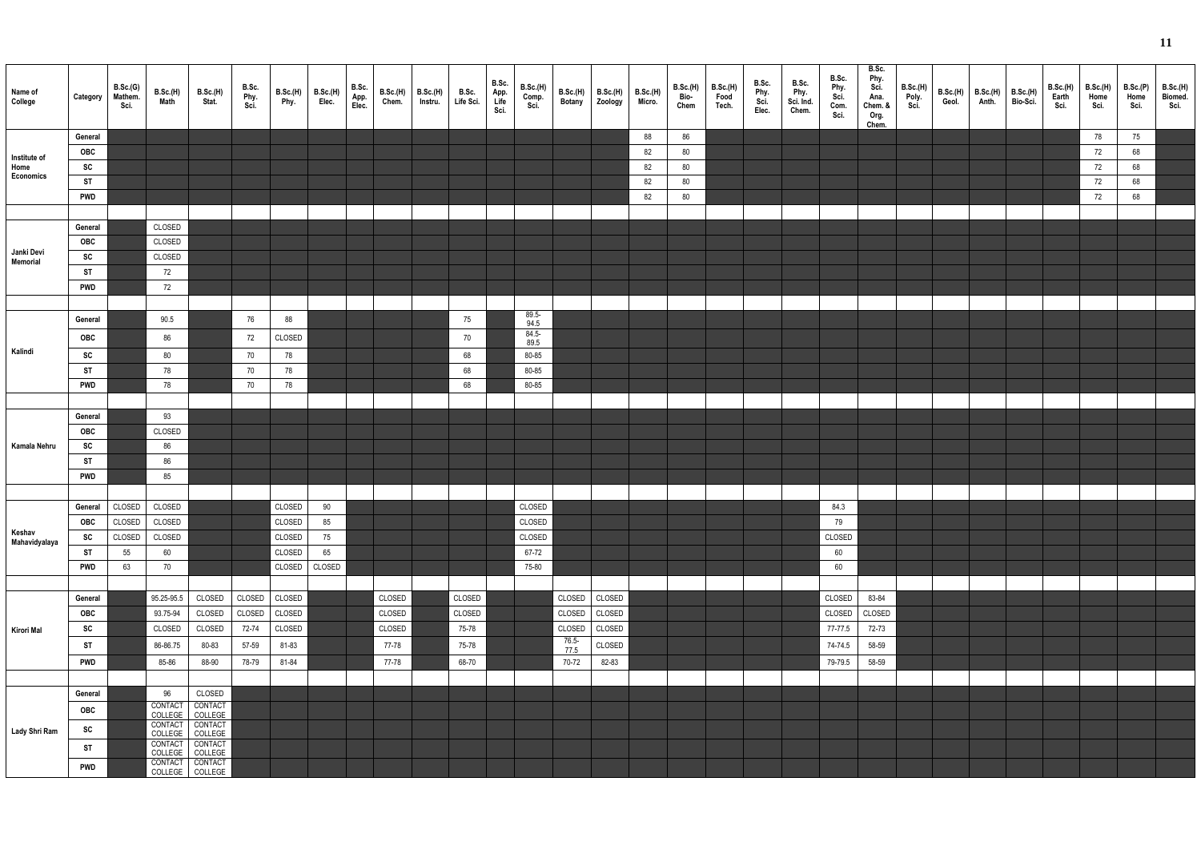| Name of<br>College     | Category              | B.Sc.(G)<br>Mathem.<br>Sci. | B.Sc.(H)<br>Math           | B.Sc.(H)<br>Stat.                  | B.Sc.<br>Phy.<br>Sci. | B.Sc.(H)<br>Phy. | B.Sc.(H)<br>Elec. | B.Sc.<br>App.<br>Elec. | B.Sc.(H)<br>Chem. | B.Sc.(H)<br>Instru. | B.Sc.<br>Life Sci. | B.Sc.<br>App.<br>Life<br>Sci. | B.Sc.(H)<br>Comp.<br>Sci. | B.Sc.(H)<br>Botany | B.Sc.(H)<br>Zoology | B.Sc.(H)<br>Micro. | B.Sc.(H)<br>Bio-<br>Chem | B.Sc.(H)<br>Food<br>Tech. | B.Sc.<br>Phy.<br>Sci.<br>Elec. | B.Sc.<br>Phy.<br>Sci. Ind.<br>Chem. | B.Sc.<br>Phy.<br>Sci.<br>Com.<br>Sci. | B.Sc.<br>Phy.<br>Sci.<br>Ana.<br>Chem. &<br>Org.<br>Chem. | B.Sc.(H)<br>Poly.<br>Sci. | B.Sc.(H)<br>Geol. | B.Sc.(H)<br>Anth. | B.Sc.(H)<br>Bio-Sci. | <b>B.Sc.(H)</b><br>Earth<br>Sci. | B.Sc.(H)<br>Home<br>Sci. | B.Sc.(P)<br>Home<br>Sci. | B.Sc.(H)<br>Biomed.<br>Sci. |
|------------------------|-----------------------|-----------------------------|----------------------------|------------------------------------|-----------------------|------------------|-------------------|------------------------|-------------------|---------------------|--------------------|-------------------------------|---------------------------|--------------------|---------------------|--------------------|--------------------------|---------------------------|--------------------------------|-------------------------------------|---------------------------------------|-----------------------------------------------------------|---------------------------|-------------------|-------------------|----------------------|----------------------------------|--------------------------|--------------------------|-----------------------------|
|                        | General               |                             |                            |                                    |                       |                  |                   |                        |                   |                     |                    |                               |                           |                    |                     | 88                 | 86                       |                           |                                |                                     |                                       |                                                           |                           |                   |                   |                      |                                  | 78                       | 75                       |                             |
| Institute of           | OBC                   |                             |                            |                                    |                       |                  |                   |                        |                   |                     |                    |                               |                           |                    |                     | 82                 | 80                       |                           |                                |                                     |                                       |                                                           |                           |                   |                   |                      |                                  | 72                       | 68                       |                             |
| Home<br>Economics      | SC                    |                             |                            |                                    |                       |                  |                   |                        |                   |                     |                    |                               |                           |                    |                     | 82                 | 80                       |                           |                                |                                     |                                       |                                                           |                           |                   |                   |                      |                                  | 72                       | 68                       |                             |
|                        | <b>ST</b>             |                             |                            |                                    |                       |                  |                   |                        |                   |                     |                    |                               |                           |                    |                     | 82                 | 80                       |                           |                                |                                     |                                       |                                                           |                           |                   |                   |                      |                                  | 72                       | 68                       |                             |
|                        | <b>PWD</b>            |                             |                            |                                    |                       |                  |                   |                        |                   |                     |                    |                               |                           |                    |                     | 82                 | 80                       |                           |                                |                                     |                                       |                                                           |                           |                   |                   |                      |                                  | 72                       | 68                       |                             |
|                        | General               |                             | CLOSED                     |                                    |                       |                  |                   |                        |                   |                     |                    |                               |                           |                    |                     |                    |                          |                           |                                |                                     |                                       |                                                           |                           |                   |                   |                      |                                  |                          |                          |                             |
|                        | OBC                   |                             | CLOSED                     |                                    |                       |                  |                   |                        |                   |                     |                    |                               |                           |                    |                     |                    |                          |                           |                                |                                     |                                       |                                                           |                           |                   |                   |                      |                                  |                          |                          |                             |
| Janki Devi<br>Memorial | SC                    |                             | CLOSED                     |                                    |                       |                  |                   |                        |                   |                     |                    |                               |                           |                    |                     |                    |                          |                           |                                |                                     |                                       |                                                           |                           |                   |                   |                      |                                  |                          |                          |                             |
|                        | <b>ST</b>             |                             | 72                         |                                    |                       |                  |                   |                        |                   |                     |                    |                               |                           |                    |                     |                    |                          |                           |                                |                                     |                                       |                                                           |                           |                   |                   |                      |                                  |                          |                          |                             |
|                        | <b>PWD</b>            |                             | 72                         |                                    |                       |                  |                   |                        |                   |                     |                    |                               |                           |                    |                     |                    |                          |                           |                                |                                     |                                       |                                                           |                           |                   |                   |                      |                                  |                          |                          |                             |
|                        |                       |                             |                            |                                    |                       |                  |                   |                        |                   |                     |                    |                               |                           |                    |                     |                    |                          |                           |                                |                                     |                                       |                                                           |                           |                   |                   |                      |                                  |                          |                          |                             |
|                        | General               |                             | 90.5                       |                                    | 76                    | 88               |                   |                        |                   |                     | 75                 |                               | $89.5 -$<br>94.5          |                    |                     |                    |                          |                           |                                |                                     |                                       |                                                           |                           |                   |                   |                      |                                  |                          |                          |                             |
|                        | OBC                   |                             | 86                         |                                    | 72                    | CLOSED           |                   |                        |                   |                     | 70                 |                               | $84.5 -$                  |                    |                     |                    |                          |                           |                                |                                     |                                       |                                                           |                           |                   |                   |                      |                                  |                          |                          |                             |
| Kalindi                | SC                    |                             | $80\,$                     |                                    | 70                    | 78               |                   |                        |                   |                     | 68                 |                               | 89.5<br>80-85             |                    |                     |                    |                          |                           |                                |                                     |                                       |                                                           |                           |                   |                   |                      |                                  |                          |                          |                             |
|                        | ST                    |                             | 78                         |                                    | 70                    | 78               |                   |                        |                   |                     | 68                 |                               | 80-85                     |                    |                     |                    |                          |                           |                                |                                     |                                       |                                                           |                           |                   |                   |                      |                                  |                          |                          |                             |
|                        | <b>PWD</b>            |                             | 78                         |                                    | 70                    | 78               |                   |                        |                   |                     | 68                 |                               | 80-85                     |                    |                     |                    |                          |                           |                                |                                     |                                       |                                                           |                           |                   |                   |                      |                                  |                          |                          |                             |
|                        |                       |                             |                            |                                    |                       |                  |                   |                        |                   |                     |                    |                               |                           |                    |                     |                    |                          |                           |                                |                                     |                                       |                                                           |                           |                   |                   |                      |                                  |                          |                          |                             |
|                        | General               |                             | 93                         |                                    |                       |                  |                   |                        |                   |                     |                    |                               |                           |                    |                     |                    |                          |                           |                                |                                     |                                       |                                                           |                           |                   |                   |                      |                                  |                          |                          |                             |
|                        | OBC                   |                             | CLOSED                     |                                    |                       |                  |                   |                        |                   |                     |                    |                               |                           |                    |                     |                    |                          |                           |                                |                                     |                                       |                                                           |                           |                   |                   |                      |                                  |                          |                          |                             |
| Kamala Nehru           | SC                    |                             | 86                         |                                    |                       |                  |                   |                        |                   |                     |                    |                               |                           |                    |                     |                    |                          |                           |                                |                                     |                                       |                                                           |                           |                   |                   |                      |                                  |                          |                          |                             |
|                        | ST                    |                             | 86                         |                                    |                       |                  |                   |                        |                   |                     |                    |                               |                           |                    |                     |                    |                          |                           |                                |                                     |                                       |                                                           |                           |                   |                   |                      |                                  |                          |                          |                             |
|                        | <b>PWD</b>            |                             | 85                         |                                    |                       |                  |                   |                        |                   |                     |                    |                               |                           |                    |                     |                    |                          |                           |                                |                                     |                                       |                                                           |                           |                   |                   |                      |                                  |                          |                          |                             |
|                        |                       |                             |                            |                                    |                       |                  |                   |                        |                   |                     |                    |                               |                           |                    |                     |                    |                          |                           |                                |                                     |                                       |                                                           |                           |                   |                   |                      |                                  |                          |                          |                             |
|                        | General<br><b>OBC</b> | CLOSED                      | CLOSED                     |                                    |                       | CLOSED<br>CLOSED | 90                |                        |                   |                     |                    |                               | CLOSED                    |                    |                     |                    |                          |                           |                                |                                     | 84.3                                  |                                                           |                           |                   |                   |                      |                                  |                          |                          |                             |
| Keshav                 | SC                    | CLOSED<br>CLOSED            | CLOSED<br>CLOSED           |                                    |                       | CLOSED           | 85<br>75          |                        |                   |                     |                    |                               | CLOSED<br>CLOSED          |                    |                     |                    |                          |                           |                                |                                     | 79<br>CLOSED                          |                                                           |                           |                   |                   |                      |                                  |                          |                          |                             |
| Mahavidyalaya          | ST                    | 55                          | 60                         |                                    |                       | CLOSED           | 65                |                        |                   |                     |                    |                               | 67-72                     |                    |                     |                    |                          |                           |                                |                                     | $60\,$                                |                                                           |                           |                   |                   |                      |                                  |                          |                          |                             |
|                        | <b>PWD</b>            | 63                          | 70                         |                                    |                       | CLOSED           | CLOSED            |                        |                   |                     |                    |                               | 75-80                     |                    |                     |                    |                          |                           |                                |                                     | 60                                    |                                                           |                           |                   |                   |                      |                                  |                          |                          |                             |
|                        |                       |                             |                            |                                    |                       |                  |                   |                        |                   |                     |                    |                               |                           |                    |                     |                    |                          |                           |                                |                                     |                                       |                                                           |                           |                   |                   |                      |                                  |                          |                          |                             |
|                        | General               |                             | 95.25-95.5                 | CLOSED                             | CLOSED                | CLOSED           |                   |                        | CLOSED            |                     | CLOSED             |                               |                           | CLOSED             | CLOSED              |                    |                          |                           |                                |                                     | CLOSED                                | 83-84                                                     |                           |                   |                   |                      |                                  |                          |                          |                             |
|                        | <b>OBC</b>            |                             | 93.75-94                   | CLOSED                             | CLOSED                | CLOSED           |                   |                        | CLOSED            |                     | CLOSED             |                               |                           | CLOSED             | CLOSED              |                    |                          |                           |                                |                                     | CLOSED                                | CLOSED                                                    |                           |                   |                   |                      |                                  |                          |                          |                             |
| Kirori Mal             | SC                    |                             | CLOSED                     | CLOSED                             | 72-74                 | CLOSED           |                   |                        | CLOSED            |                     | 75-78              |                               |                           | CLOSED             | CLOSED              |                    |                          |                           |                                |                                     | 77-77.5                               | 72-73                                                     |                           |                   |                   |                      |                                  |                          |                          |                             |
|                        | ST                    |                             | 86-86.75                   | 80-83                              | 57-59                 | 81-83            |                   |                        | 77-78             |                     | 75-78              |                               |                           | $76.5 -$<br>77.5   | CLOSED              |                    |                          |                           |                                |                                     | 74-74.5                               | 58-59                                                     |                           |                   |                   |                      |                                  |                          |                          |                             |
|                        | <b>PWD</b>            |                             | 85-86                      | 88-90                              | 78-79                 | 81-84            |                   |                        | 77-78             |                     | 68-70              |                               |                           | 70-72              | 82-83               |                    |                          |                           |                                |                                     | 79-79.5                               | 58-59                                                     |                           |                   |                   |                      |                                  |                          |                          |                             |
|                        |                       |                             |                            |                                    |                       |                  |                   |                        |                   |                     |                    |                               |                           |                    |                     |                    |                          |                           |                                |                                     |                                       |                                                           |                           |                   |                   |                      |                                  |                          |                          |                             |
|                        | General               |                             | 96                         | CLOSED                             |                       |                  |                   |                        |                   |                     |                    |                               |                           |                    |                     |                    |                          |                           |                                |                                     |                                       |                                                           |                           |                   |                   |                      |                                  |                          |                          |                             |
|                        | <b>OBC</b>            |                             | CONTACT<br>COLLEGE COLLEGE | CONTACT                            |                       |                  |                   |                        |                   |                     |                    |                               |                           |                    |                     |                    |                          |                           |                                |                                     |                                       |                                                           |                           |                   |                   |                      |                                  |                          |                          |                             |
| Lady Shri Ram          | SC                    |                             |                            | CONTACT CONTACT<br>COLLEGE COLLEGE |                       |                  |                   |                        |                   |                     |                    |                               |                           |                    |                     |                    |                          |                           |                                |                                     |                                       |                                                           |                           |                   |                   |                      |                                  |                          |                          |                             |
|                        | ST                    |                             | CONTACT CONTACT            |                                    |                       |                  |                   |                        |                   |                     |                    |                               |                           |                    |                     |                    |                          |                           |                                |                                     |                                       |                                                           |                           |                   |                   |                      |                                  |                          |                          |                             |
|                        |                       |                             | CONTACT CONTACT            | COLLEGE COLLEGE                    |                       |                  |                   |                        |                   |                     |                    |                               |                           |                    |                     |                    |                          |                           |                                |                                     |                                       |                                                           |                           |                   |                   |                      |                                  |                          |                          |                             |
|                        | <b>PWD</b>            |                             | COLLEGE COLLEGE            |                                    |                       |                  |                   |                        |                   |                     |                    |                               |                           |                    |                     |                    |                          |                           |                                |                                     |                                       |                                                           |                           |                   |                   |                      |                                  |                          |                          |                             |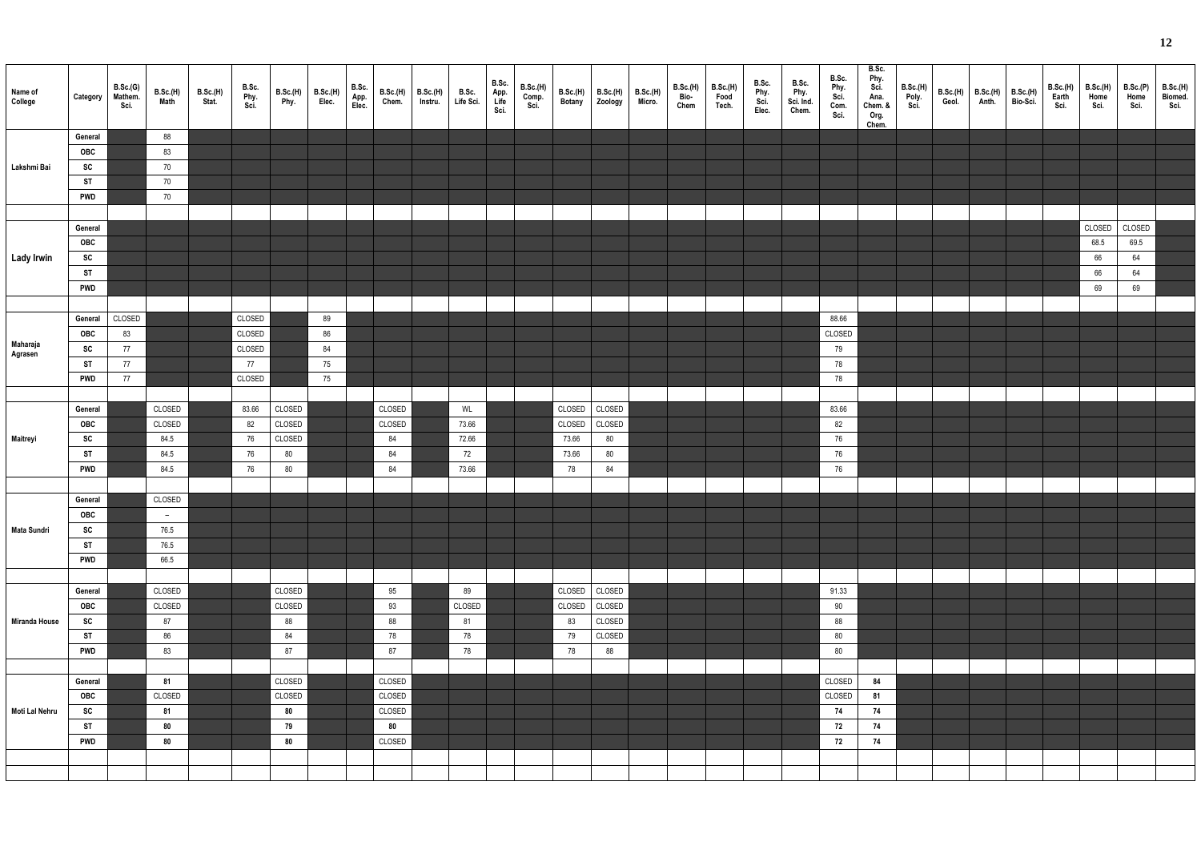| Name of<br>College | Category       | B.Sc.(G)<br>Mathem.<br>Sci. | B.Sc.(H)<br>Math | B.Sc.(H)<br>Stat. | B.Sc.<br>Phy.<br>Sci. | B.Sc.(H)<br>Phy. | B.Sc.(H)<br>Elec. | B.Sc.<br>App.<br>Elec. | B.Sc.(H)<br>Chem. | B.Sc.(H)<br>Instru. | B.Sc.<br>Life Sci. | B.Sc.<br>App.<br>Life<br>Sci. | B.Sc.(H)<br>Comp.<br>Sci. | <b>B.Sc.(H)</b><br><b>Botany</b> | B.Sc.(H)<br>Zoology | B.Sc.(H)<br>Micro. | B.Sc.(H)<br>Bio-<br>Chem | B.Sc.(H)<br>Food<br>Tech. | B.Sc.<br>Phy.<br>Sci.<br>Elec. | B.Sc.<br>Phy.<br>Sci. Ind.<br>Chem. | B.Sc.<br>Phy.<br>Sci.<br>Com.<br>Sci. | B.Sc.<br>Phy.<br>Sci.<br>Ana.<br>Chem. &<br>Org.<br>Chem. | B.Sc.(H)<br>Poly.<br>Sci. | B.Sc.(H)<br>Geol. | B.Sc.(H)<br>Anth. | B.Sc.(H)<br>Bio-Sci. | B.Sc.(H)<br>Earth<br>Sci. | B.Sc.(H)<br>Home<br>Sci. | B.Sc.(P)<br>Home<br>Sci. | B.Sc.(H)<br>Biomed.<br>Sci. |
|--------------------|----------------|-----------------------------|------------------|-------------------|-----------------------|------------------|-------------------|------------------------|-------------------|---------------------|--------------------|-------------------------------|---------------------------|----------------------------------|---------------------|--------------------|--------------------------|---------------------------|--------------------------------|-------------------------------------|---------------------------------------|-----------------------------------------------------------|---------------------------|-------------------|-------------------|----------------------|---------------------------|--------------------------|--------------------------|-----------------------------|
|                    | General        |                             | 88               |                   |                       |                  |                   |                        |                   |                     |                    |                               |                           |                                  |                     |                    |                          |                           |                                |                                     |                                       |                                                           |                           |                   |                   |                      |                           |                          |                          |                             |
|                    | OBC            |                             | 83               |                   |                       |                  |                   |                        |                   |                     |                    |                               |                           |                                  |                     |                    |                          |                           |                                |                                     |                                       |                                                           |                           |                   |                   |                      |                           |                          |                          |                             |
| Lakshmi Bai        | SC             |                             | 70               |                   |                       |                  |                   |                        |                   |                     |                    |                               |                           |                                  |                     |                    |                          |                           |                                |                                     |                                       |                                                           |                           |                   |                   |                      |                           |                          |                          |                             |
|                    | <b>ST</b>      |                             | 70               |                   |                       |                  |                   |                        |                   |                     |                    |                               |                           |                                  |                     |                    |                          |                           |                                |                                     |                                       |                                                           |                           |                   |                   |                      |                           |                          |                          |                             |
|                    | <b>PWD</b>     |                             | 70               |                   |                       |                  |                   |                        |                   |                     |                    |                               |                           |                                  |                     |                    |                          |                           |                                |                                     |                                       |                                                           |                           |                   |                   |                      |                           |                          |                          |                             |
|                    |                |                             |                  |                   |                       |                  |                   |                        |                   |                     |                    |                               |                           |                                  |                     |                    |                          |                           |                                |                                     |                                       |                                                           |                           |                   |                   |                      |                           |                          |                          |                             |
|                    | General        |                             |                  |                   |                       |                  |                   |                        |                   |                     |                    |                               |                           |                                  |                     |                    |                          |                           |                                |                                     |                                       |                                                           |                           |                   |                   |                      |                           | CLOSED                   | CLOSED                   |                             |
|                    | <b>OBC</b>     |                             |                  |                   |                       |                  |                   |                        |                   |                     |                    |                               |                           |                                  |                     |                    |                          |                           |                                |                                     |                                       |                                                           |                           |                   |                   |                      |                           | 68.5                     | 69.5                     |                             |
| Lady Irwin         | SC             |                             |                  |                   |                       |                  |                   |                        |                   |                     |                    |                               |                           |                                  |                     |                    |                          |                           |                                |                                     |                                       |                                                           |                           |                   |                   |                      |                           | 66                       | 64                       |                             |
|                    | <b>ST</b>      |                             |                  |                   |                       |                  |                   |                        |                   |                     |                    |                               |                           |                                  |                     |                    |                          |                           |                                |                                     |                                       |                                                           |                           |                   |                   |                      |                           | 66                       | 64                       |                             |
|                    | <b>PWD</b>     |                             |                  |                   |                       |                  |                   |                        |                   |                     |                    |                               |                           |                                  |                     |                    |                          |                           |                                |                                     |                                       |                                                           |                           |                   |                   |                      |                           | 69                       | 69                       |                             |
|                    |                |                             |                  |                   |                       |                  |                   |                        |                   |                     |                    |                               |                           |                                  |                     |                    |                          |                           |                                |                                     |                                       |                                                           |                           |                   |                   |                      |                           |                          |                          |                             |
|                    | General        | CLOSED                      |                  |                   | CLOSED                |                  | 89                |                        |                   |                     |                    |                               |                           |                                  |                     |                    |                          |                           |                                |                                     | 88.66                                 |                                                           |                           |                   |                   |                      |                           |                          |                          |                             |
| Maharaja           | OBC<br>SC      | 83<br>77                    |                  |                   | CLOSED<br>CLOSED      |                  | 86<br>84          |                        |                   |                     |                    |                               |                           |                                  |                     |                    |                          |                           |                                |                                     | CLOSED                                |                                                           |                           |                   |                   |                      |                           |                          |                          |                             |
| Agrasen            | <b>ST</b>      | 77                          |                  |                   | 77                    |                  | 75                |                        |                   |                     |                    |                               |                           |                                  |                     |                    |                          |                           |                                |                                     | 79<br>78                              |                                                           |                           |                   |                   |                      |                           |                          |                          |                             |
|                    | <b>PWD</b>     | 77                          |                  |                   | CLOSED                |                  | 75                |                        |                   |                     |                    |                               |                           |                                  |                     |                    |                          |                           |                                |                                     | 78                                    |                                                           |                           |                   |                   |                      |                           |                          |                          |                             |
|                    |                |                             |                  |                   |                       |                  |                   |                        |                   |                     |                    |                               |                           |                                  |                     |                    |                          |                           |                                |                                     |                                       |                                                           |                           |                   |                   |                      |                           |                          |                          |                             |
|                    | General        |                             | CLOSED           |                   | 83.66                 | CLOSED           |                   |                        | CLOSED            |                     | WL                 |                               |                           | CLOSED                           | CLOSED              |                    |                          |                           |                                |                                     | 83.66                                 |                                                           |                           |                   |                   |                      |                           |                          |                          |                             |
|                    | OBC            |                             | CLOSED           |                   | 82                    | CLOSED           |                   |                        | CLOSED            |                     | 73.66              |                               |                           | CLOSED                           | CLOSED              |                    |                          |                           |                                |                                     | 82                                    |                                                           |                           |                   |                   |                      |                           |                          |                          |                             |
| Maitreyi           | SC             |                             | 84.5             |                   | 76                    | CLOSED           |                   |                        | 84                |                     | 72.66              |                               |                           | 73.66                            | 80                  |                    |                          |                           |                                |                                     | 76                                    |                                                           |                           |                   |                   |                      |                           |                          |                          |                             |
|                    | <b>ST</b>      |                             | 84.5             |                   | 76                    | 80               |                   |                        | 84                |                     | 72                 |                               |                           | 73.66                            | 80                  |                    |                          |                           |                                |                                     | 76                                    |                                                           |                           |                   |                   |                      |                           |                          |                          |                             |
|                    | <b>PWD</b>     |                             | 84.5             |                   | 76                    | 80               |                   |                        | 84                |                     | 73.66              |                               |                           | 78                               | 84                  |                    |                          |                           |                                |                                     | 76                                    |                                                           |                           |                   |                   |                      |                           |                          |                          |                             |
|                    |                |                             |                  |                   |                       |                  |                   |                        |                   |                     |                    |                               |                           |                                  |                     |                    |                          |                           |                                |                                     |                                       |                                                           |                           |                   |                   |                      |                           |                          |                          |                             |
|                    | General        |                             | CLOSED           |                   |                       |                  |                   |                        |                   |                     |                    |                               |                           |                                  |                     |                    |                          |                           |                                |                                     |                                       |                                                           |                           |                   |                   |                      |                           |                          |                          |                             |
|                    | OBC            |                             | $\sim$           |                   |                       |                  |                   |                        |                   |                     |                    |                               |                           |                                  |                     |                    |                          |                           |                                |                                     |                                       |                                                           |                           |                   |                   |                      |                           |                          |                          |                             |
| <b>Mata Sundri</b> | SC             |                             | 76.5             |                   |                       |                  |                   |                        |                   |                     |                    |                               |                           |                                  |                     |                    |                          |                           |                                |                                     |                                       |                                                           |                           |                   |                   |                      |                           |                          |                          |                             |
|                    | <b>ST</b>      |                             | 76.5             |                   |                       |                  |                   |                        |                   |                     |                    |                               |                           |                                  |                     |                    |                          |                           |                                |                                     |                                       |                                                           |                           |                   |                   |                      |                           |                          |                          |                             |
|                    | <b>PWD</b>     |                             | 66.5             |                   |                       |                  |                   |                        |                   |                     |                    |                               |                           |                                  |                     |                    |                          |                           |                                |                                     |                                       |                                                           |                           |                   |                   |                      |                           |                          |                          |                             |
|                    |                |                             |                  |                   |                       |                  |                   |                        |                   |                     |                    |                               |                           |                                  |                     |                    |                          |                           |                                |                                     |                                       |                                                           |                           |                   |                   |                      |                           |                          |                          |                             |
|                    | General        |                             | CLOSED           |                   |                       | CLOSED           |                   |                        | 95                |                     | 89                 |                               |                           |                                  | CLOSED CLOSED       |                    |                          |                           |                                |                                     | 91.33                                 |                                                           |                           |                   |                   |                      |                           |                          |                          |                             |
|                    | OBC            |                             | CLOSED           |                   |                       | CLOSED           |                   |                        | 93                |                     | CLOSED             |                               |                           | CLOSED                           | CLOSED              |                    |                          |                           |                                |                                     | $90\,$                                |                                                           |                           |                   |                   |                      |                           |                          |                          |                             |
| Miranda House      | SC             |                             | 87               |                   |                       | 88               |                   |                        | 88                |                     | 81                 |                               |                           | 83                               | CLOSED              |                    |                          |                           |                                |                                     | 88                                    |                                                           |                           |                   |                   |                      |                           |                          |                          |                             |
|                    | <b>ST</b>      |                             | 86               |                   |                       | 84               |                   |                        | 78                |                     | 78                 |                               |                           | 79                               | CLOSED              |                    |                          |                           |                                |                                     | $80\,$                                |                                                           |                           |                   |                   |                      |                           |                          |                          |                             |
|                    | <b>PWD</b>     |                             | 83               |                   |                       | 87               |                   |                        | 87                |                     | 78                 |                               |                           | 78                               | 88                  |                    |                          |                           |                                |                                     | $80\,$                                |                                                           |                           |                   |                   |                      |                           |                          |                          |                             |
|                    |                |                             |                  |                   |                       |                  |                   |                        |                   |                     |                    |                               |                           |                                  |                     |                    |                          |                           |                                |                                     |                                       |                                                           |                           |                   |                   |                      |                           |                          |                          |                             |
|                    | General<br>OBC |                             | 81<br>CLOSED     |                   |                       | CLOSED<br>CLOSED |                   |                        | CLOSED<br>CLOSED  |                     |                    |                               |                           |                                  |                     |                    |                          |                           |                                |                                     | CLOSED<br>CLOSED                      | 84<br>81                                                  |                           |                   |                   |                      |                           |                          |                          |                             |
| Moti Lal Nehru     | SC             |                             | 81               |                   |                       | 80               |                   |                        | CLOSED            |                     |                    |                               |                           |                                  |                     |                    |                          |                           |                                |                                     | 74                                    | 74                                                        |                           |                   |                   |                      |                           |                          |                          |                             |
|                    | <b>ST</b>      |                             | 80               |                   |                       | 79               |                   |                        | 80                |                     |                    |                               |                           |                                  |                     |                    |                          |                           |                                |                                     | 72                                    | 74                                                        |                           |                   |                   |                      |                           |                          |                          |                             |
|                    | <b>PWD</b>     |                             | 80               |                   |                       | 80               |                   |                        | CLOSED            |                     |                    |                               |                           |                                  |                     |                    |                          |                           |                                |                                     | 72                                    | 74                                                        |                           |                   |                   |                      |                           |                          |                          |                             |
|                    |                |                             |                  |                   |                       |                  |                   |                        |                   |                     |                    |                               |                           |                                  |                     |                    |                          |                           |                                |                                     |                                       |                                                           |                           |                   |                   |                      |                           |                          |                          |                             |
|                    |                |                             |                  |                   |                       |                  |                   |                        |                   |                     |                    |                               |                           |                                  |                     |                    |                          |                           |                                |                                     |                                       |                                                           |                           |                   |                   |                      |                           |                          |                          |                             |
|                    |                |                             |                  |                   |                       |                  |                   |                        |                   |                     |                    |                               |                           |                                  |                     |                    |                          |                           |                                |                                     |                                       |                                                           |                           |                   |                   |                      |                           |                          |                          |                             |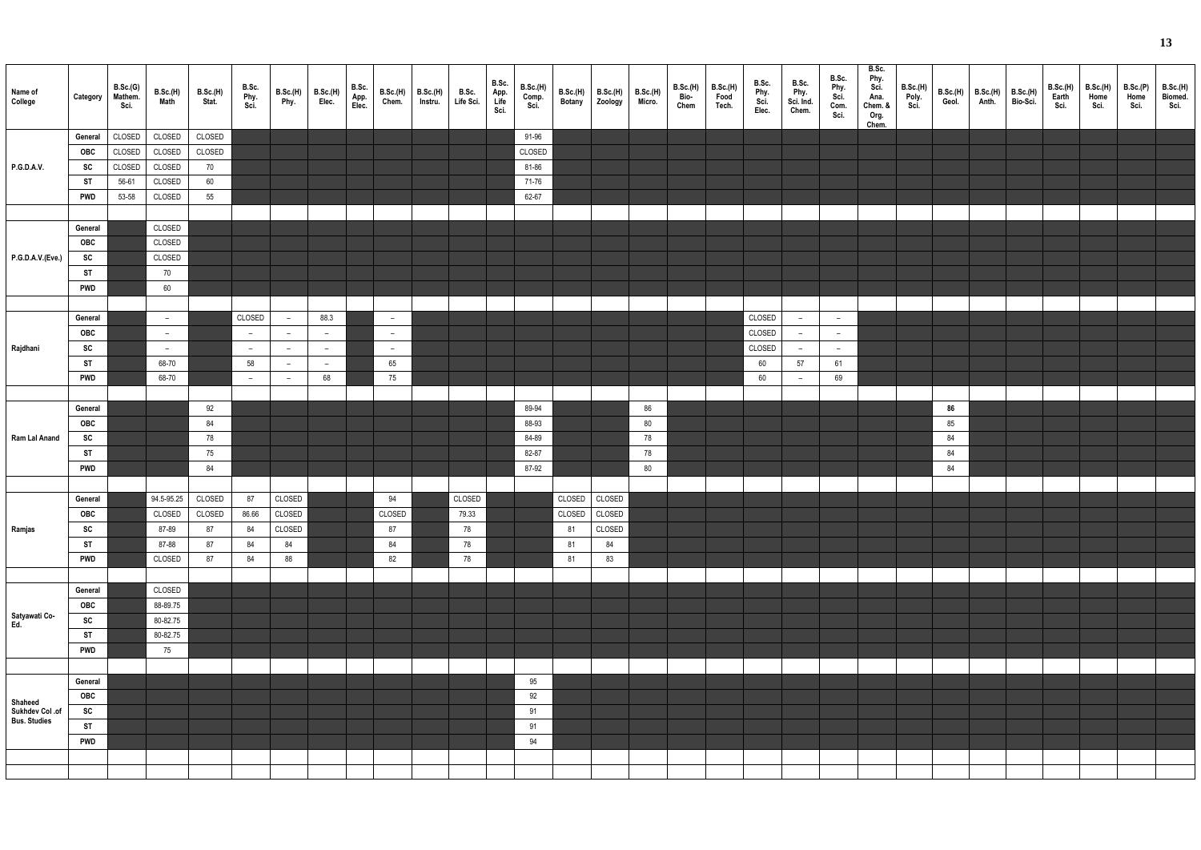| Name of<br>College         | Category   | B.Sc.(G)<br>Mathem.<br>Sci. | B.Sc.(H)<br>Math | <b>B.Sc.(H)</b><br>Stat. | B.Sc.<br>Phy.<br>Sci.    | B.Sc.(H)<br>Phy.         | B.Sc.(H)<br>Elec. | B.Sc.<br>App.<br>Elec. | B.Sc.(H)<br>Chem. | B.Sc.(H)<br>Instru. | B.Sc.<br>Life Sci. | B.Sc.<br>App.<br>Life<br>Sci. | B.Sc.(H)<br>Comp.<br>Sci. | <b>B.Sc.(H)</b><br><b>Botany</b> | B.Sc.(H)  <br>Zoology | <b>B.Sc.(H)</b><br>Micro. | B.Sc.(H)<br>Bio-<br>Chem | <b>B.Sc.(H)</b><br>Food<br>Tech. | B.Sc.<br>Phy.<br>Sci.<br>Elec. | B.Sc.<br>Phy.<br>Sci. Ind.<br>Chem. | B.Sc.<br>Phy.<br>Sci.<br>Com.<br>Sci. | B.Sc.<br>Phy.<br>Sci.<br>Ana.<br>Chem. &<br>Org.<br>Chem. | B.Sc.(H)<br>Poly.<br>Sci. | B.Sc.(H)<br>Geol. | B.Sc.(H)<br>Anth. | B.Sc.(H)<br>Bio-Sci. | B.Sc.(H)<br>Earth<br>Sci. | <b>B.Sc.(H)</b><br>Home<br>Sci. | B.Sc.(P)<br>Home<br>Sci. | B.Sc.(H)<br>Biomed.<br>Sci. |
|----------------------------|------------|-----------------------------|------------------|--------------------------|--------------------------|--------------------------|-------------------|------------------------|-------------------|---------------------|--------------------|-------------------------------|---------------------------|----------------------------------|-----------------------|---------------------------|--------------------------|----------------------------------|--------------------------------|-------------------------------------|---------------------------------------|-----------------------------------------------------------|---------------------------|-------------------|-------------------|----------------------|---------------------------|---------------------------------|--------------------------|-----------------------------|
|                            | General    | CLOSED                      | CLOSED           | CLOSED                   |                          |                          |                   |                        |                   |                     |                    |                               | 91-96                     |                                  |                       |                           |                          |                                  |                                |                                     |                                       |                                                           |                           |                   |                   |                      |                           |                                 |                          |                             |
|                            | OBC        | CLOSED                      | CLOSED           | CLOSED                   |                          |                          |                   |                        |                   |                     |                    |                               | CLOSED                    |                                  |                       |                           |                          |                                  |                                |                                     |                                       |                                                           |                           |                   |                   |                      |                           |                                 |                          |                             |
| P.G.D.A.V.                 | SC         | CLOSED                      | CLOSED           | 70                       |                          |                          |                   |                        |                   |                     |                    |                               | 81-86                     |                                  |                       |                           |                          |                                  |                                |                                     |                                       |                                                           |                           |                   |                   |                      |                           |                                 |                          |                             |
|                            | <b>ST</b>  | 56-61                       | CLOSED           | 60                       |                          |                          |                   |                        |                   |                     |                    |                               | 71-76                     |                                  |                       |                           |                          |                                  |                                |                                     |                                       |                                                           |                           |                   |                   |                      |                           |                                 |                          |                             |
|                            | <b>PWD</b> | 53-58                       | CLOSED           | 55                       |                          |                          |                   |                        |                   |                     |                    |                               | 62-67                     |                                  |                       |                           |                          |                                  |                                |                                     |                                       |                                                           |                           |                   |                   |                      |                           |                                 |                          |                             |
|                            |            |                             |                  |                          |                          |                          |                   |                        |                   |                     |                    |                               |                           |                                  |                       |                           |                          |                                  |                                |                                     |                                       |                                                           |                           |                   |                   |                      |                           |                                 |                          |                             |
|                            | General    |                             | CLOSED           |                          |                          |                          |                   |                        |                   |                     |                    |                               |                           |                                  |                       |                           |                          |                                  |                                |                                     |                                       |                                                           |                           |                   |                   |                      |                           |                                 |                          |                             |
|                            | OBC        |                             | CLOSED           |                          |                          |                          |                   |                        |                   |                     |                    |                               |                           |                                  |                       |                           |                          |                                  |                                |                                     |                                       |                                                           |                           |                   |                   |                      |                           |                                 |                          |                             |
| P.G.D.A.V.(Eve.)           | SC         |                             | CLOSED           |                          |                          |                          |                   |                        |                   |                     |                    |                               |                           |                                  |                       |                           |                          |                                  |                                |                                     |                                       |                                                           |                           |                   |                   |                      |                           |                                 |                          |                             |
|                            | <b>ST</b>  |                             | 70               |                          |                          |                          |                   |                        |                   |                     |                    |                               |                           |                                  |                       |                           |                          |                                  |                                |                                     |                                       |                                                           |                           |                   |                   |                      |                           |                                 |                          |                             |
|                            |            |                             |                  |                          |                          |                          |                   |                        |                   |                     |                    |                               |                           |                                  |                       |                           |                          |                                  |                                |                                     |                                       |                                                           |                           |                   |                   |                      |                           |                                 |                          |                             |
|                            | <b>PWD</b> |                             | 60               |                          |                          |                          |                   |                        |                   |                     |                    |                               |                           |                                  |                       |                           |                          |                                  |                                |                                     |                                       |                                                           |                           |                   |                   |                      |                           |                                 |                          |                             |
|                            |            |                             |                  |                          |                          |                          |                   |                        |                   |                     |                    |                               |                           |                                  |                       |                           |                          |                                  |                                |                                     |                                       |                                                           |                           |                   |                   |                      |                           |                                 |                          |                             |
|                            | General    |                             | $\sim$           |                          | CLOSED                   | $-$                      | 88.3              |                        | $\overline{a}$    |                     |                    |                               |                           |                                  |                       |                           |                          |                                  | CLOSED                         | $\sim$                              | $-$                                   |                                                           |                           |                   |                   |                      |                           |                                 |                          |                             |
|                            | <b>OBC</b> |                             | $\sim$           |                          | $\overline{\phantom{0}}$ | $-$                      | $ \,$             |                        | $\sim$            |                     |                    |                               |                           |                                  |                       |                           |                          |                                  | CLOSED                         | $\sim$                              | $ \,$                                 |                                                           |                           |                   |                   |                      |                           |                                 |                          |                             |
| Rajdhani                   | SC         |                             | $\overline{a}$   |                          | $-$                      | $-$                      | $ \,$             |                        | $\sim$            |                     |                    |                               |                           |                                  |                       |                           |                          |                                  | CLOSED                         | $\sim$                              | $-$                                   |                                                           |                           |                   |                   |                      |                           |                                 |                          |                             |
|                            | <b>ST</b>  |                             | 68-70            |                          | 58                       | $-$                      | $ \,$             |                        | 65                |                     |                    |                               |                           |                                  |                       |                           |                          |                                  | 60                             | 57                                  | 61                                    |                                                           |                           |                   |                   |                      |                           |                                 |                          |                             |
|                            | <b>PWD</b> |                             | 68-70            |                          | $ \,$                    | $\overline{\phantom{0}}$ | 68                |                        | 75                |                     |                    |                               |                           |                                  |                       |                           |                          |                                  | 60                             | $\sim$                              | 69                                    |                                                           |                           |                   |                   |                      |                           |                                 |                          |                             |
|                            |            |                             |                  |                          |                          |                          |                   |                        |                   |                     |                    |                               |                           |                                  |                       |                           |                          |                                  |                                |                                     |                                       |                                                           |                           |                   |                   |                      |                           |                                 |                          |                             |
|                            | General    |                             |                  | 92                       |                          |                          |                   |                        |                   |                     |                    |                               | 89-94                     |                                  |                       | 86                        |                          |                                  |                                |                                     |                                       |                                                           |                           | 86                |                   |                      |                           |                                 |                          |                             |
|                            | <b>OBC</b> |                             |                  | 84                       |                          |                          |                   |                        |                   |                     |                    |                               | 88-93                     |                                  |                       | 80                        |                          |                                  |                                |                                     |                                       |                                                           |                           | 85                |                   |                      |                           |                                 |                          |                             |
| Ram Lal Anand              | SC         |                             |                  | 78                       |                          |                          |                   |                        |                   |                     |                    |                               | 84-89                     |                                  |                       | 78                        |                          |                                  |                                |                                     |                                       |                                                           |                           | 84                |                   |                      |                           |                                 |                          |                             |
|                            | ST         |                             |                  | 75                       |                          |                          |                   |                        |                   |                     |                    |                               | 82-87                     |                                  |                       | 78                        |                          |                                  |                                |                                     |                                       |                                                           |                           | 84                |                   |                      |                           |                                 |                          |                             |
|                            | <b>PWD</b> |                             |                  | 84                       |                          |                          |                   |                        |                   |                     |                    |                               | 87-92                     |                                  |                       | 80                        |                          |                                  |                                |                                     |                                       |                                                           |                           | 84                |                   |                      |                           |                                 |                          |                             |
|                            |            |                             |                  |                          |                          |                          |                   |                        |                   |                     |                    |                               |                           |                                  |                       |                           |                          |                                  |                                |                                     |                                       |                                                           |                           |                   |                   |                      |                           |                                 |                          |                             |
|                            | General    |                             | 94.5-95.25       | CLOSED                   | 87                       | CLOSED                   |                   |                        | 94                |                     | CLOSED             |                               |                           | CLOSED                           | CLOSED                |                           |                          |                                  |                                |                                     |                                       |                                                           |                           |                   |                   |                      |                           |                                 |                          |                             |
|                            | <b>OBC</b> |                             | <b>CLOSED</b>    | <b>CLOSED</b>            | 86.66                    | CLOSED                   |                   |                        | CLOSED            |                     | 79.33              |                               |                           |                                  | CLOSED CLOSED         |                           |                          |                                  |                                |                                     |                                       |                                                           |                           |                   |                   |                      |                           |                                 |                          |                             |
| Ramjas                     | SC         |                             | 87-89            | 87                       | 84                       | CLOSED                   |                   |                        | 87                |                     | 78                 |                               |                           | 81                               | CLOSED                |                           |                          |                                  |                                |                                     |                                       |                                                           |                           |                   |                   |                      |                           |                                 |                          |                             |
|                            | <b>ST</b>  |                             | 87-88            | 87                       | 84                       | 84                       |                   |                        | 84                |                     | 78                 |                               |                           | 81                               | 84                    |                           |                          |                                  |                                |                                     |                                       |                                                           |                           |                   |                   |                      |                           |                                 |                          |                             |
|                            | <b>PWD</b> |                             | CLOSED           | 87                       | 84                       | 88                       |                   |                        | 82                |                     | 78                 |                               |                           | 81                               | 83                    |                           |                          |                                  |                                |                                     |                                       |                                                           |                           |                   |                   |                      |                           |                                 |                          |                             |
|                            |            |                             |                  |                          |                          |                          |                   |                        |                   |                     |                    |                               |                           |                                  |                       |                           |                          |                                  |                                |                                     |                                       |                                                           |                           |                   |                   |                      |                           |                                 |                          |                             |
|                            | General    |                             | CLOSED           |                          |                          |                          |                   |                        |                   |                     |                    |                               |                           |                                  |                       |                           |                          |                                  |                                |                                     |                                       |                                                           |                           |                   |                   |                      |                           |                                 |                          |                             |
|                            | OBC        |                             | 88-89.75         |                          |                          |                          |                   |                        |                   |                     |                    |                               |                           |                                  |                       |                           |                          |                                  |                                |                                     |                                       |                                                           |                           |                   |                   |                      |                           |                                 |                          |                             |
| Satyawati Co-<br>Ed.       | SC         |                             | 80-82.75         |                          |                          |                          |                   |                        |                   |                     |                    |                               |                           |                                  |                       |                           |                          |                                  |                                |                                     |                                       |                                                           |                           |                   |                   |                      |                           |                                 |                          |                             |
|                            | <b>ST</b>  |                             | 80-82.75         |                          |                          |                          |                   |                        |                   |                     |                    |                               |                           |                                  |                       |                           |                          |                                  |                                |                                     |                                       |                                                           |                           |                   |                   |                      |                           |                                 |                          |                             |
|                            | <b>PWD</b> |                             | 75               |                          |                          |                          |                   |                        |                   |                     |                    |                               |                           |                                  |                       |                           |                          |                                  |                                |                                     |                                       |                                                           |                           |                   |                   |                      |                           |                                 |                          |                             |
|                            |            |                             |                  |                          |                          |                          |                   |                        |                   |                     |                    |                               |                           |                                  |                       |                           |                          |                                  |                                |                                     |                                       |                                                           |                           |                   |                   |                      |                           |                                 |                          |                             |
|                            | General    |                             |                  |                          |                          |                          |                   |                        |                   |                     |                    |                               | 95                        |                                  |                       |                           |                          |                                  |                                |                                     |                                       |                                                           |                           |                   |                   |                      |                           |                                 |                          |                             |
|                            | <b>OBC</b> |                             |                  |                          |                          |                          |                   |                        |                   |                     |                    |                               | 92                        |                                  |                       |                           |                          |                                  |                                |                                     |                                       |                                                           |                           |                   |                   |                      |                           |                                 |                          |                             |
| Shaheed<br>Sukhdev Col .of | SC         |                             |                  |                          |                          |                          |                   |                        |                   |                     |                    |                               | 91                        |                                  |                       |                           |                          |                                  |                                |                                     |                                       |                                                           |                           |                   |                   |                      |                           |                                 |                          |                             |
| <b>Bus. Studies</b>        | <b>ST</b>  |                             |                  |                          |                          |                          |                   |                        |                   |                     |                    |                               | 91                        |                                  |                       |                           |                          |                                  |                                |                                     |                                       |                                                           |                           |                   |                   |                      |                           |                                 |                          |                             |
|                            | <b>PWD</b> |                             |                  |                          |                          |                          |                   |                        |                   |                     |                    |                               | 94                        |                                  |                       |                           |                          |                                  |                                |                                     |                                       |                                                           |                           |                   |                   |                      |                           |                                 |                          |                             |
|                            |            |                             |                  |                          |                          |                          |                   |                        |                   |                     |                    |                               |                           |                                  |                       |                           |                          |                                  |                                |                                     |                                       |                                                           |                           |                   |                   |                      |                           |                                 |                          |                             |
|                            |            |                             |                  |                          |                          |                          |                   |                        |                   |                     |                    |                               |                           |                                  |                       |                           |                          |                                  |                                |                                     |                                       |                                                           |                           |                   |                   |                      |                           |                                 |                          |                             |
|                            |            |                             |                  |                          |                          |                          |                   |                        |                   |                     |                    |                               |                           |                                  |                       |                           |                          |                                  |                                |                                     |                                       |                                                           |                           |                   |                   |                      |                           |                                 |                          |                             |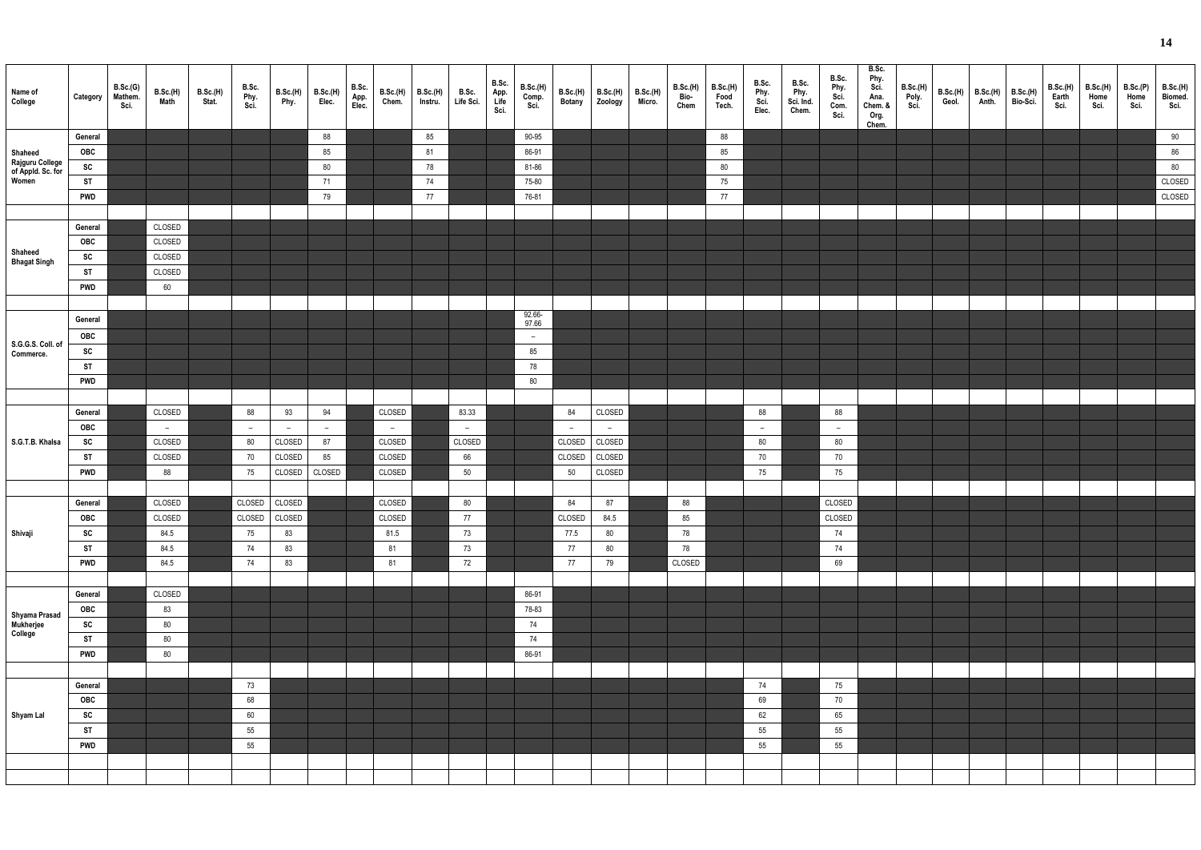| ٩ |  |
|---|--|
|   |  |

| Name of<br>College                            | Category   | B.Sc.(G)<br>Mathem.<br>Sci. | B.Sc.(H)<br>Math | <b>B.Sc.(H)</b><br>Stat. | B.Sc.<br>Phy.<br>Sci. | <b>B.Sc.(H)</b><br>Phy.  | <b>B.Sc.(H)</b><br>Elec. | B.Sc.<br>App.<br>Elec. | B.Sc.(H)<br>Chem. | B.Sc.(H)<br>Instru. | B.Sc.<br>Life Sci. | B.Sc.<br>App.<br>Life<br>Sci. | B.Sc.(H)<br>Comp.<br>Sci. |        | B.Sc.(H) B.Sc.(H)<br>Botany Zoology | <b>B.Sc.(H)</b><br>Micro. | <b>B.Sc.(H)</b><br>Bio-<br>Chem | B.Sc.(H)<br>Food<br>Tech. | B.Sc.<br>Phy.<br>Sci.<br>Elec. | B.Sc.<br>Phy.<br>Sci. Ind.<br>Chem. | B.Sc.<br>Phy.<br>Sci.<br>Com.<br>Sci. | B.Sc.<br>Phy.<br>Sci.<br>Ana.<br>Chem. &<br>Org.<br>Chem. | B.Sc.(H)<br>Poly.<br>Sci. | Geol. | $B.Sc.(H)$ $B.Sc.(H)$<br>Anth. | <b>B.Sc.(H)</b><br>Bio-Sci. | B.Sc.(H)<br>Earth<br>Sci. | B.Sc.(H)<br>Home<br>Sci. | B.Sc.(P)<br>Home<br>Sci. | B.Sc.(H)<br>Biomed.<br>Sci. |
|-----------------------------------------------|------------|-----------------------------|------------------|--------------------------|-----------------------|--------------------------|--------------------------|------------------------|-------------------|---------------------|--------------------|-------------------------------|---------------------------|--------|-------------------------------------|---------------------------|---------------------------------|---------------------------|--------------------------------|-------------------------------------|---------------------------------------|-----------------------------------------------------------|---------------------------|-------|--------------------------------|-----------------------------|---------------------------|--------------------------|--------------------------|-----------------------------|
|                                               | General    |                             |                  |                          |                       |                          | 88                       |                        |                   | 85                  |                    |                               | 90-95                     |        |                                     |                           |                                 | 88                        |                                |                                     |                                       |                                                           |                           |       |                                |                             |                           |                          |                          | 90                          |
| Shaheed                                       | OBC        |                             |                  |                          |                       |                          | 85                       |                        |                   | 81                  |                    |                               | 86-91                     |        |                                     |                           |                                 | 85                        |                                |                                     |                                       |                                                           |                           |       |                                |                             |                           |                          |                          | 86                          |
| Rajguru College<br>of Appld. Sc. for<br>Women | SC         |                             |                  |                          |                       |                          | $80\,$                   |                        |                   | 78                  |                    |                               | 81-86                     |        |                                     |                           |                                 | 80                        |                                |                                     |                                       |                                                           |                           |       |                                |                             |                           |                          |                          | $80\,$                      |
|                                               | <b>ST</b>  |                             |                  |                          |                       |                          | 71                       |                        |                   | 74                  |                    |                               | 75-80                     |        |                                     |                           |                                 | 75                        |                                |                                     |                                       |                                                           |                           |       |                                |                             |                           |                          |                          | CLOSED                      |
|                                               | <b>PWD</b> |                             |                  |                          |                       |                          | 79                       |                        |                   | 77                  |                    |                               | 76-81                     |        |                                     |                           |                                 | 77                        |                                |                                     |                                       |                                                           |                           |       |                                |                             |                           |                          |                          | CLOSED                      |
|                                               |            |                             |                  |                          |                       |                          |                          |                        |                   |                     |                    |                               |                           |        |                                     |                           |                                 |                           |                                |                                     |                                       |                                                           |                           |       |                                |                             |                           |                          |                          |                             |
|                                               | General    |                             | CLOSED           |                          |                       |                          |                          |                        |                   |                     |                    |                               |                           |        |                                     |                           |                                 |                           |                                |                                     |                                       |                                                           |                           |       |                                |                             |                           |                          |                          |                             |
|                                               | OBC        |                             | CLOSED           |                          |                       |                          |                          |                        |                   |                     |                    |                               |                           |        |                                     |                           |                                 |                           |                                |                                     |                                       |                                                           |                           |       |                                |                             |                           |                          |                          |                             |
| Shaheed                                       | SC         |                             | CLOSED           |                          |                       |                          |                          |                        |                   |                     |                    |                               |                           |        |                                     |                           |                                 |                           |                                |                                     |                                       |                                                           |                           |       |                                |                             |                           |                          |                          |                             |
| <b>Bhagat Singh</b>                           | <b>ST</b>  |                             | CLOSED           |                          |                       |                          |                          |                        |                   |                     |                    |                               |                           |        |                                     |                           |                                 |                           |                                |                                     |                                       |                                                           |                           |       |                                |                             |                           |                          |                          |                             |
|                                               | <b>PWD</b> |                             | 60               |                          |                       |                          |                          |                        |                   |                     |                    |                               |                           |        |                                     |                           |                                 |                           |                                |                                     |                                       |                                                           |                           |       |                                |                             |                           |                          |                          |                             |
|                                               |            |                             |                  |                          |                       |                          |                          |                        |                   |                     |                    |                               |                           |        |                                     |                           |                                 |                           |                                |                                     |                                       |                                                           |                           |       |                                |                             |                           |                          |                          |                             |
|                                               |            |                             |                  |                          |                       |                          |                          |                        |                   |                     |                    |                               | 92.66-                    |        |                                     |                           |                                 |                           |                                |                                     |                                       |                                                           |                           |       |                                |                             |                           |                          |                          |                             |
|                                               | General    |                             |                  |                          |                       |                          |                          |                        |                   |                     |                    |                               | 97.66                     |        |                                     |                           |                                 |                           |                                |                                     |                                       |                                                           |                           |       |                                |                             |                           |                          |                          |                             |
| S.G.G.S. Coll. of                             | OBC        |                             |                  |                          |                       |                          |                          |                        |                   |                     |                    |                               | $-$                       |        |                                     |                           |                                 |                           |                                |                                     |                                       |                                                           |                           |       |                                |                             |                           |                          |                          |                             |
| Commerce.                                     | SC         |                             |                  |                          |                       |                          |                          |                        |                   |                     |                    |                               | 85                        |        |                                     |                           |                                 |                           |                                |                                     |                                       |                                                           |                           |       |                                |                             |                           |                          |                          |                             |
|                                               | ST         |                             |                  |                          |                       |                          |                          |                        |                   |                     |                    |                               | 78                        |        |                                     |                           |                                 |                           |                                |                                     |                                       |                                                           |                           |       |                                |                             |                           |                          |                          |                             |
|                                               | <b>PWD</b> |                             |                  |                          |                       |                          |                          |                        |                   |                     |                    |                               | $80\,$                    |        |                                     |                           |                                 |                           |                                |                                     |                                       |                                                           |                           |       |                                |                             |                           |                          |                          |                             |
|                                               |            |                             |                  |                          |                       |                          |                          |                        |                   |                     |                    |                               |                           |        |                                     |                           |                                 |                           |                                |                                     |                                       |                                                           |                           |       |                                |                             |                           |                          |                          |                             |
|                                               | General    |                             | CLOSED           |                          | 88                    | 93                       | 94                       |                        | CLOSED            |                     | 83.33              |                               |                           | 84     | CLOSED                              |                           |                                 |                           | 88                             |                                     | 88                                    |                                                           |                           |       |                                |                             |                           |                          |                          |                             |
|                                               | OBC        |                             | $\sim$           |                          | $-$                   | $\overline{\phantom{a}}$ | $\sim$                   |                        | $-$               |                     | $-$                |                               |                           | $-$    | $-$                                 |                           |                                 |                           | $\overline{\phantom{0}}$       |                                     | $-$                                   |                                                           |                           |       |                                |                             |                           |                          |                          |                             |
| S.G.T.B. Khalsa                               | SC         |                             | CLOSED           |                          | 80                    | CLOSED                   | 87                       |                        | CLOSED            |                     | CLOSED             |                               |                           | CLOSED | CLOSED                              |                           |                                 |                           | 80                             |                                     | 80                                    |                                                           |                           |       |                                |                             |                           |                          |                          |                             |
|                                               | ST         |                             | CLOSED           |                          | 70                    | CLOSED                   | 85                       |                        | CLOSED            |                     | 66                 |                               |                           | CLOSED | CLOSED                              |                           |                                 |                           | 70                             |                                     | 70                                    |                                                           |                           |       |                                |                             |                           |                          |                          |                             |
|                                               | <b>PWD</b> |                             | 88               |                          | 75                    | CLOSED                   | CLOSED                   |                        | CLOSED            |                     | 50                 |                               |                           | 50     | CLOSED                              |                           |                                 |                           | 75                             |                                     | 75                                    |                                                           |                           |       |                                |                             |                           |                          |                          |                             |
|                                               |            |                             |                  |                          |                       |                          |                          |                        |                   |                     |                    |                               |                           |        |                                     |                           |                                 |                           |                                |                                     |                                       |                                                           |                           |       |                                |                             |                           |                          |                          |                             |
|                                               | General    |                             | CLOSED           |                          | CLOSED                | CLOSED                   |                          |                        | CLOSED            |                     | 80                 |                               |                           | 84     | 87                                  |                           | 88                              |                           |                                |                                     | CLOSED                                |                                                           |                           |       |                                |                             |                           |                          |                          |                             |
|                                               | OBC        |                             | CLOSED           |                          | CLOSED                | CLOSED                   |                          |                        | CLOSED            |                     | 77                 |                               |                           | CLOSED | 84.5                                |                           | 85                              |                           |                                |                                     | CLOSED                                |                                                           |                           |       |                                |                             |                           |                          |                          |                             |
| Shivaji                                       | SC         |                             | 84.5             |                          | 75                    | 83                       |                          |                        | 81.5              |                     | 73                 |                               |                           | 77.5   | 80                                  |                           | 78                              |                           |                                |                                     | 74                                    |                                                           |                           |       |                                |                             |                           |                          |                          |                             |
|                                               | <b>ST</b>  |                             | 84.5             |                          | 74                    | 83                       |                          |                        | 81                |                     | 73                 |                               |                           | 77     | 80                                  |                           | 78                              |                           |                                |                                     | 74                                    |                                                           |                           |       |                                |                             |                           |                          |                          |                             |
|                                               | <b>PWD</b> |                             | 84.5             |                          | 74                    | 83                       |                          |                        | 81                |                     | 72                 |                               |                           | 77     | 79                                  |                           | CLOSED                          |                           |                                |                                     | 69                                    |                                                           |                           |       |                                |                             |                           |                          |                          |                             |
|                                               |            |                             |                  |                          |                       |                          |                          |                        |                   |                     |                    |                               |                           |        |                                     |                           |                                 |                           |                                |                                     |                                       |                                                           |                           |       |                                |                             |                           |                          |                          |                             |
|                                               | General    |                             | CLOSED           |                          |                       |                          |                          |                        |                   |                     |                    |                               | 86-91                     |        |                                     |                           |                                 |                           |                                |                                     |                                       |                                                           |                           |       |                                |                             |                           |                          |                          |                             |
|                                               | OBC        |                             | 83               |                          |                       |                          |                          |                        |                   |                     |                    |                               | 78-83                     |        |                                     |                           |                                 |                           |                                |                                     |                                       |                                                           |                           |       |                                |                             |                           |                          |                          |                             |
| Shyama Prasad<br>Mukherjee<br>College         | SC         |                             | 80               |                          |                       |                          |                          |                        |                   |                     |                    |                               | 74                        |        |                                     |                           |                                 |                           |                                |                                     |                                       |                                                           |                           |       |                                |                             |                           |                          |                          |                             |
|                                               | <b>ST</b>  |                             | 80               |                          |                       |                          |                          |                        |                   |                     |                    |                               | 74                        |        |                                     |                           |                                 |                           |                                |                                     |                                       |                                                           |                           |       |                                |                             |                           |                          |                          |                             |
|                                               |            |                             |                  |                          |                       |                          |                          |                        |                   |                     |                    |                               |                           |        |                                     |                           |                                 |                           |                                |                                     |                                       |                                                           |                           |       |                                |                             |                           |                          |                          |                             |
|                                               | <b>PWD</b> |                             | 80               |                          |                       |                          |                          |                        |                   |                     |                    |                               | 86-91                     |        |                                     |                           |                                 |                           |                                |                                     |                                       |                                                           |                           |       |                                |                             |                           |                          |                          |                             |
|                                               |            |                             |                  |                          |                       |                          |                          |                        |                   |                     |                    |                               |                           |        |                                     |                           |                                 |                           |                                |                                     |                                       |                                                           |                           |       |                                |                             |                           |                          |                          |                             |
|                                               | General    |                             |                  |                          | 73                    |                          |                          |                        |                   |                     |                    |                               |                           |        |                                     |                           |                                 |                           | 74                             |                                     | 75                                    |                                                           |                           |       |                                |                             |                           |                          |                          |                             |
|                                               | <b>OBC</b> |                             |                  |                          | 68                    |                          |                          |                        |                   |                     |                    |                               |                           |        |                                     |                           |                                 |                           | 69                             |                                     | 70                                    |                                                           |                           |       |                                |                             |                           |                          |                          |                             |
| Shyam Lal                                     | SC         |                             |                  |                          | 60                    |                          |                          |                        |                   |                     |                    |                               |                           |        |                                     |                           |                                 |                           | 62                             |                                     | 65                                    |                                                           |                           |       |                                |                             |                           |                          |                          |                             |
|                                               | <b>ST</b>  |                             |                  |                          | 55                    |                          |                          |                        |                   |                     |                    |                               |                           |        |                                     |                           |                                 |                           | 55                             |                                     | 55                                    |                                                           |                           |       |                                |                             |                           |                          |                          |                             |
|                                               | <b>PWD</b> |                             |                  |                          | 55                    |                          |                          |                        |                   |                     |                    |                               |                           |        |                                     |                           |                                 |                           | 55                             |                                     | 55                                    |                                                           |                           |       |                                |                             |                           |                          |                          |                             |
|                                               |            |                             |                  |                          |                       |                          |                          |                        |                   |                     |                    |                               |                           |        |                                     |                           |                                 |                           |                                |                                     |                                       |                                                           |                           |       |                                |                             |                           |                          |                          |                             |
|                                               |            |                             |                  |                          |                       |                          |                          |                        |                   |                     |                    |                               |                           |        |                                     |                           |                                 |                           |                                |                                     |                                       |                                                           |                           |       |                                |                             |                           |                          |                          |                             |